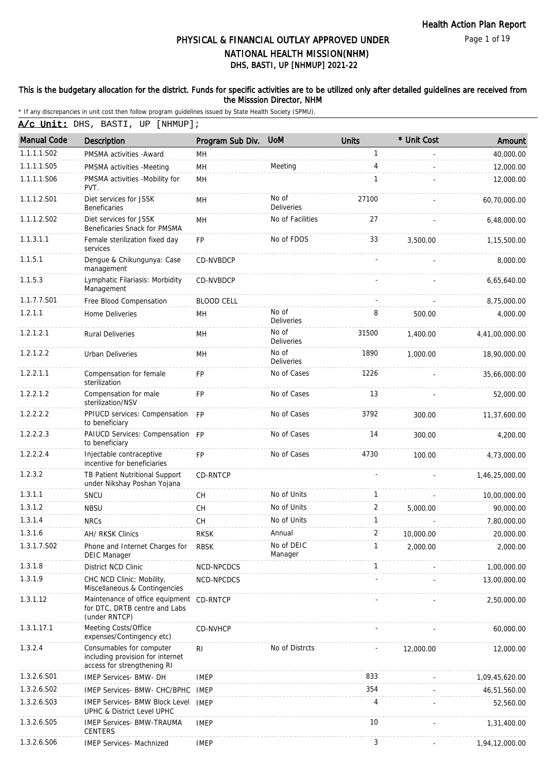Page 1 of 19

# DHS, BASTI, UP [NHMUP] 2021-22 PHYSICAL & FINANCIAL OUTLAY APPROVED UNDER NATIONAL HEALTH MISSION(NHM)

### This is the budgetary allocation for the district. Funds for specific activities are to be utilized only after detailed guidelines are received from the Misssion Director, NHM

|  |  |  |  |  | A/c Unit: DHS, BASTI, UP [NHMUP]; |
|--|--|--|--|--|-----------------------------------|
|--|--|--|--|--|-----------------------------------|

| <b>Manual Code</b> | <b>Description</b>                                                                          | Program Sub Div.  | <b>UoM</b>                 | <b>Units</b> | * Unit Cost | Amount         |
|--------------------|---------------------------------------------------------------------------------------------|-------------------|----------------------------|--------------|-------------|----------------|
| 1.1.1.1.S02        | PMSMA activities - Award                                                                    | MН                |                            | 1            |             | 40,000.00      |
| 1.1.1.1.S05        | PMSMA activities -Meeting                                                                   | MH                | Meeting                    | 4            |             | 12,000.00      |
| 1.1.1.1.S06        | PMSMA activities -Mobility for<br>PVT.                                                      | MH                |                            | $\mathbf{1}$ |             | 12,000.00      |
| 1.1.1.2.S01        | Diet services for JSSK<br><b>Beneficaries</b>                                               | MH                | No of<br><b>Deliveries</b> | 27100        |             | 60,70,000.00   |
| 1.1.1.2.S02        | Diet services for JSSK<br>Beneficaries Snack for PMSMA                                      | MH                | No of Facilities           | 27           |             | 6,48,000.00    |
| 1.1.3.1.1          | Female sterilization fixed day<br>services                                                  | <b>FP</b>         | No of FDOS                 | 33           | 3,500.00    | 1,15,500.00    |
| 1.1.5.1            | Dengue & Chikungunya: Case<br>management                                                    | CD-NVBDCP         |                            |              |             | 8,000.00       |
| 1.1.5.3            | Lymphatic Filariasis: Morbidity<br>Management                                               | CD-NVBDCP         |                            |              |             | 6,65,640.00    |
| 1.1.7.7.S01        | Free Blood Compensation                                                                     | <b>BLOOD CELL</b> |                            |              |             | 8,75,000.00    |
| 1.2.1.1            | Home Deliveries                                                                             | MН                | No of<br>Deliveries        | 8            | 500.00      | 4,000.00       |
| 1.2.1.2.1          | <b>Rural Deliveries</b>                                                                     | MH                | No of<br>Deliveries        | 31500        | 1,400.00    | 4,41,00,000.00 |
| 1.2.1.2.2          | Urban Deliveries                                                                            | <b>MH</b>         | No of<br><b>Deliveries</b> | 1890         | 1,000.00    | 18,90,000.00   |
| 1.2.2.1.1          | Compensation for female<br>sterilization                                                    | FP                | No of Cases                | 1226         |             | 35,66,000.00   |
| 1.2.2.1.2          | Compensation for male<br>sterilization/NSV                                                  | <b>FP</b>         | No of Cases                | 13           |             | 52,000.00      |
| 1.2.2.2.2          | PPIUCD services: Compensation FP<br>to beneficiary                                          |                   | No of Cases                | 3792         | 300.00      | 11,37,600.00   |
| 1.2.2.2.3          | PAIUCD Services: Compensation FP<br>to beneficiary                                          |                   | No of Cases                | 14           | 300.00      | 4,200.00       |
| 1.2.2.2.4          | Injectable contraceptive<br>incentive for beneficiaries                                     | <b>FP</b>         | No of Cases                | 4730         | 100.00      | 4,73,000.00    |
| 1.2.3.2            | TB Patient Nutritional Support<br>under Nikshay Poshan Yojana                               | <b>CD-RNTCP</b>   |                            |              |             | 1,46,25,000.00 |
| 1.3.1.1            | SNCU                                                                                        | <b>CH</b>         | No of Units                | 1            |             | 10,00,000.00   |
| 1.3.1.2            | <b>NBSU</b>                                                                                 | <b>CH</b>         | No of Units                | 2            | 5.000.00    | 90,000.00      |
| 1.3.1.4            | <b>NRCs</b>                                                                                 | <b>CH</b>         | No of Units                | $\mathbf{1}$ |             | 7,80,000.00    |
| 1.3.1.6            | AH/ RKSK Clinics                                                                            | <b>RKSK</b>       | Annual                     | 2            | 10,000.00   | 20,000.00      |
| 1.3.1.7.S02        | Phone and Internet Charges for<br><b>DEIC Manager</b>                                       | <b>RBSK</b>       | No of DEIC<br>Manager      |              | 2,000.00    | 2,000.00       |
| 1.3.1.8            | District NCD Clinic                                                                         | NCD-NPCDCS        |                            | 1            |             | 1,00,000.00    |
| 1.3.1.9            | CHC NCD Clinic: Mobility,<br>Miscellaneous & Contingencies                                  | NCD-NPCDCS        |                            |              |             | 13,00,000.00   |
| 1.3.1.12           | Maintenance of office equipment CD-RNTCP<br>for DTC, DRTB centre and Labs<br>(under RNTCP)  |                   |                            |              |             | 2,50,000.00    |
| 1.3.1.17.1         | Meeting Costs/Office<br>expenses/Contingency etc)                                           | CD-NVHCP          |                            |              |             | 60,000.00      |
| 1.3.2.4            | Consumables for computer<br>including provision for internet<br>access for strengthening RI | <b>RI</b>         | No of Distrcts             |              | 12,000.00   | 12,000.00      |
| 1.3.2.6.S01        | IMEP Services- BMW- DH                                                                      | <b>IMEP</b>       |                            | 833          |             | 1,09,45,620.00 |
| 1.3.2.6.S02        | IMEP Services- BMW- CHC/BPHC                                                                | IMEP              |                            | 354          |             | 46,51,560.00   |
| 1.3.2.6.S03        | <b>IMEP Services- BMW Block Level</b><br>UPHC & District Level UPHC                         | <b>IMEP</b>       |                            | 4            |             | 52,560.00      |
| 1.3.2.6.S05        | <b>IMEP Services- BMW-TRAUMA</b><br>CENTERS                                                 | <b>IMEP</b>       |                            | 10           |             | 1,31,400.00    |
| 1.3.2.6.S06        | <b>IMEP Services- Machnized</b>                                                             | <b>IMEP</b>       |                            | 3            |             | 1,94,12,000.00 |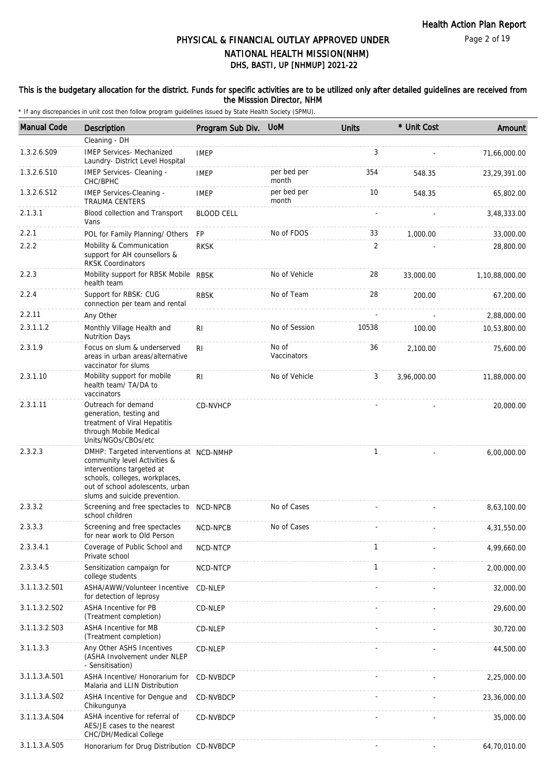### This is the budgetary allocation for the district. Funds for specific activities are to be utilized only after detailed guidelines are received from the Misssion Director, NHM

| <b>Manual Code</b> | <b>Description</b>                                                                                                                                                                                           | Program Sub Div.  | <b>UoM</b>           | <b>Units</b> | * Unit Cost | Amount         |
|--------------------|--------------------------------------------------------------------------------------------------------------------------------------------------------------------------------------------------------------|-------------------|----------------------|--------------|-------------|----------------|
|                    | Cleaning - DH                                                                                                                                                                                                |                   |                      |              |             |                |
| 1.3.2.6.S09        | <b>IMEP Services- Mechanized</b><br>Laundry- District Level Hospital                                                                                                                                         | <b>IMEP</b>       |                      | 3            |             | 71,66,000.00   |
| 1.3.2.6.S10        | IMEP Services- Cleaning -<br>CHC/BPHC                                                                                                                                                                        | <b>IMEP</b>       | per bed per<br>month | 354          | 548.35      | 23,29,391.00   |
| 1.3.2.6.S12        | IMEP Services-Cleaning -<br><b>TRAUMA CENTERS</b>                                                                                                                                                            | <b>IMEP</b>       | per bed per<br>month | 10           | 548.35      | 65,802.00      |
| 2.1.3.1            | Blood collection and Transport<br>Vans                                                                                                                                                                       | <b>BLOOD CELL</b> |                      |              |             | 3,48,333.00    |
| 2.2.1              | POL for Family Planning/ Others                                                                                                                                                                              | FP                | No of FDOS           | 33           | 1,000.00    | 33,000.00      |
| 2.2.2              | Mobility & Communication<br>support for AH counsellors &<br><b>RKSK Coordinators</b>                                                                                                                         | <b>RKSK</b>       |                      | 2            |             | 28,800.00      |
| 2.2.3              | Mobility support for RBSK Mobile RBSK<br>health team                                                                                                                                                         |                   | No of Vehicle        | 28           | 33,000.00   | 1,10,88,000.00 |
| 2.2.4              | Support for RBSK: CUG<br>connection per team and rental                                                                                                                                                      | <b>RBSK</b>       | No of Team           | 28           | 200.00      | 67,200.00      |
| 2.2.11             | Any Other                                                                                                                                                                                                    |                   |                      |              |             | 2,88,000.00    |
| 2.3.1.1.2          | Monthly Village Health and<br><b>Nutrition Days</b>                                                                                                                                                          | RI                | No of Session        | 10538        | 100.00      | 10,53,800.00   |
| 2.3.1.9            | Focus on slum & underserved<br>areas in urban areas/alternative<br>vaccinator for slums                                                                                                                      | <b>RI</b>         | No of<br>Vaccinators | 36           | 2,100.00    | 75,600.00      |
| 2.3.1.10           | Mobility support for mobile<br>health team/ TA/DA to<br>vaccinators                                                                                                                                          | RI                | No of Vehicle        | 3            | 3,96,000.00 | 11,88,000.00   |
| 2.3.1.11           | Outreach for demand<br>generation, testing and<br>treatment of Viral Hepatitis<br>through Mobile Medical<br>Units/NGOs/CBOs/etc                                                                              | <b>CD-NVHCP</b>   |                      |              |             | 20,000.00      |
| 2.3.2.3            | DMHP: Targeted interventions at NCD-NMHP<br>community level Activities &<br>interventions targeted at<br>schools, colleges, workplaces,<br>out of school adolescents, urban<br>slums and suicide prevention. |                   |                      | $\mathbf{1}$ |             | 6,00,000.00    |
| 2.3.3.2            | Screening and free spectacles to NCD-NPCB<br>school children                                                                                                                                                 |                   | No of Cases          |              |             | 8,63,100.00    |
| 2.3.3.3            | Screening and free spectacles<br>for near work to Old Person                                                                                                                                                 | NCD-NPCB          | No of Cases          |              |             | 4,31,550.00    |
| 2.3.3.4.1          | Coverage of Public School and<br>Private school                                                                                                                                                              | NCD-NTCP          |                      | $\mathbf{1}$ |             | 4,99,660.00    |
| 2.3.3.4.5          | Sensitization campaign for<br>college students                                                                                                                                                               | NCD-NTCP          |                      | $\mathbf{1}$ |             | 2,00,000.00    |
| 3.1.1.3.2.S01      | ASHA/AWW/Volunteer Incentive<br>for detection of leprosy                                                                                                                                                     | CD-NLEP           |                      |              |             | 32,000.00      |
| 3.1.1.3.2.S02      | <b>ASHA Incentive for PB</b><br>(Treatment completion)                                                                                                                                                       | CD-NLEP           |                      |              |             | 29,600.00      |
| 3.1.1.3.2.S03      | ASHA Incentive for MB<br>(Treatment completion)                                                                                                                                                              | CD-NLEP           |                      |              |             | 30,720.00      |
| 3.1.1.3.3          | Any Other ASHS Incentives<br>(ASHA Involvement under NLEP<br>- Sensitisation)                                                                                                                                | CD-NLEP           |                      |              |             | 44,500.00      |
| 3.1.1.3.A.S01      | ASHA Incentive/ Honorarium for<br>Malaria and LLIN Distribution                                                                                                                                              | CD-NVBDCP         |                      |              |             | 2,25,000.00    |
| 3.1.1.3.A.S02      | ASHA Incentive for Dengue and<br>Chikungunya                                                                                                                                                                 | CD-NVBDCP         |                      |              |             | 23,36,000.00   |
| 3.1.1.3.A.S04      | ASHA incentive for referral of<br>AES/JE cases to the nearest<br>CHC/DH/Medical College                                                                                                                      | CD-NVBDCP         |                      |              |             | 35,000.00      |
| 3.1.1.3.A.S05      | Honorarium for Drug Distribution CD-NVBDCP                                                                                                                                                                   |                   |                      |              |             | 64,70,010.00   |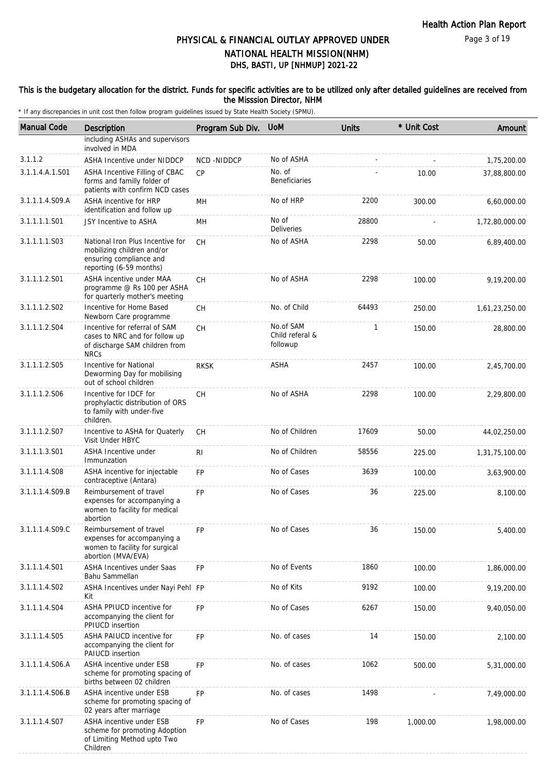### This is the budgetary allocation for the district. Funds for specific activities are to be utilized only after detailed guidelines are received from the Misssion Director, NHM

| <b>Manual Code</b> | Description                                                                                                          | Program Sub Div. | <b>UoM</b>                               | <b>Units</b> | * Unit Cost | Amount         |
|--------------------|----------------------------------------------------------------------------------------------------------------------|------------------|------------------------------------------|--------------|-------------|----------------|
|                    | including ASHAs and supervisors<br>involved in MDA                                                                   |                  |                                          |              |             |                |
| 3.1.1.2            | <b>ASHA Incentive under NIDDCP</b>                                                                                   | NCD-NIDDCP       | No of ASHA                               |              |             | 1,75,200.00    |
| 3.1.1.4.A.1.S01    | ASHA Incentive Filling of CBAC<br>forms and familly folder of<br>patients with confirm NCD cases                     | CP               | No. of<br><b>Beneficiaries</b>           |              | 10.00       | 37,88,800.00   |
| 3.1.1.1.4.S09.A    | ASHA incentive for HRP<br>identification and follow up                                                               | MН               | No of HRP                                | 2200         | 300.00      | 6,60,000.00    |
| 3.1.1.1.1.S01      | JSY Incentive to ASHA                                                                                                | MН               | No of<br><b>Deliveries</b>               | 28800        |             | 1,72,80,000.00 |
| 3.1.1.1.1.S03      | National Iron Plus Incentive for<br>mobilizing children and/or<br>ensuring compliance and<br>reporting (6-59 months) | СH               | No of ASHA                               | 2298         | 50.00       | 6,89,400.00    |
| 3.1.1.1.2.S01      | ASHA incentive under MAA<br>programme @ Rs 100 per ASHA<br>for quarterly mother's meeting                            | <b>CH</b>        | No of ASHA                               | 2298         | 100.00      | 9,19,200.00    |
| 3.1.1.1.2.S02      | Incentive for Home Based<br>Newborn Care programme                                                                   | СH               | No. of Child                             | 64493        | 250.00      | 1,61,23,250.00 |
| 3.1.1.1.2.S04      | Incentive for referral of SAM<br>cases to NRC and for follow up<br>of discharge SAM children from<br><b>NRCs</b>     | <b>CH</b>        | No.of SAM<br>Child referal &<br>followup | $\mathbf{1}$ | 150.00      | 28,800.00      |
| 3.1.1.1.2.S05      | Incentive for National<br>Deworming Day for mobilising<br>out of school children                                     | <b>RKSK</b>      | ASHA                                     | 2457         | 100.00      | 2,45,700.00    |
| 3.1.1.1.2.S06      | Incentive for IDCF for<br>prophylactic distribution of ORS<br>to family with under-five<br>children.                 | CH               | No of ASHA                               | 2298         | 100.00      | 2,29,800.00    |
| 3.1.1.1.2.S07      | Incentive to ASHA for Quaterly<br>Visit Under HBYC                                                                   | CH.              | No of Children                           | 17609        | 50.00       | 44,02,250.00   |
| 3.1.1.1.3.S01      | ASHA Incentive under<br>Immunzation                                                                                  | <b>RI</b>        | No of Children                           | 58556        | 225.00      | 1,31,75,100.00 |
| 3.1.1.1.4.S08      | ASHA incentive for injectable<br>contraceptive (Antara)                                                              | <b>FP</b>        | No of Cases                              | 3639         | 100.00      | 3,63,900.00    |
| 3.1.1.1.4.S09.B    | Reimbursement of travel<br>expenses for accompanying a<br>women to facility for medical<br>abortion                  | <b>FP</b>        | No of Cases                              | 36           | 225.00      | 8,100.00       |
| 3.1.1.1.4.S09.C    | Reimbursement of travel<br>expenses for accompanying a<br>women to facility for surgical<br>abortion (MVA/EVA)       | FP               | No of Cases                              | 36           | 150.00      | 5,400.00       |
| 3.1.1.1.4.S01      | <b>ASHA Incentives under Saas</b><br>Bahu Sammellan                                                                  | <b>FP</b>        | No of Events                             | 1860         | 100.00      | 1,86,000.00    |
| 3.1.1.1.4.S02      | ASHA Incentives under Nayi Pehl FP<br>Kit                                                                            |                  | No of Kits                               | 9192         | 100.00      | 9,19,200.00    |
| 3.1.1.1.4.S04      | ASHA PPIUCD incentive for<br>accompanying the client for<br>PPIUCD insertion                                         | <b>FP</b>        | No of Cases                              | 6267         | 150.00      | 9,40,050.00    |
| 3.1.1.1.4.S05      | ASHA PAIUCD incentive for<br>accompanying the client for<br>PAIUCD insertion                                         | <b>FP</b>        | No. of cases                             | 14           | 150.00      | 2,100.00       |
| 3.1.1.1.4.S06.A    | ASHA incentive under ESB<br>scheme for promoting spacing of<br>births between 02 children                            | <b>FP</b>        | No. of cases                             | 1062         | 500.00      | 5,31,000.00    |
| 3.1.1.1.4.S06.B    | ASHA incentive under ESB<br>scheme for promoting spacing of<br>02 years after marriage                               | FP               | No. of cases                             | 1498         |             | 7,49,000.00    |
| 3.1.1.1.4.S07      | ASHA incentive under ESB<br>scheme for promoting Adoption<br>of Limiting Method upto Two<br>Children                 | <b>FP</b>        | No of Cases                              | 198          | 1,000.00    | 1,98,000.00    |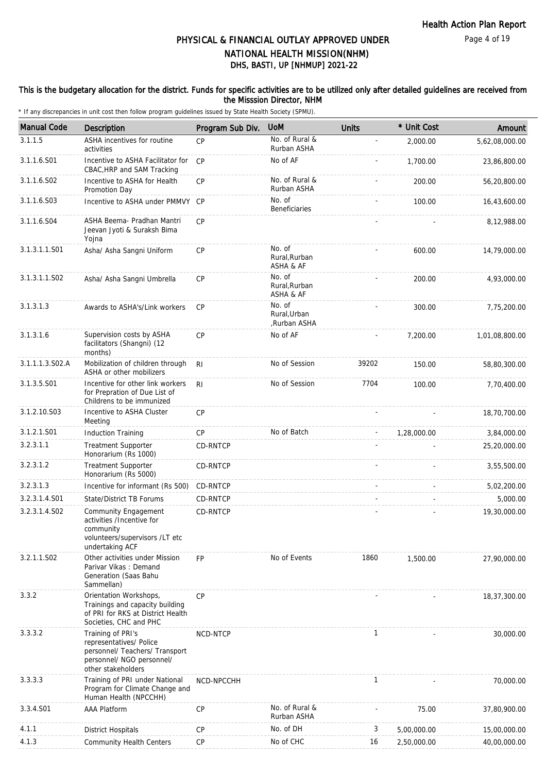### This is the budgetary allocation for the district. Funds for specific activities are to be utilized only after detailed guidelines are received from the Misssion Director, NHM

| <b>Manual Code</b> | Description                                                                                                                       | Program Sub Div. | <b>UoM</b>                            | <b>Units</b>   | * Unit Cost | Amount         |
|--------------------|-----------------------------------------------------------------------------------------------------------------------------------|------------------|---------------------------------------|----------------|-------------|----------------|
| 3.1.1.5            | ASHA incentives for routine<br>activities                                                                                         | CP               | No. of Rural &<br>Rurban ASHA         | $\blacksquare$ | 2,000.00    | 5,62,08,000.00 |
| 3.1.1.6.S01        | Incentive to ASHA Facilitator for<br>CBAC, HRP and SAM Tracking                                                                   | CP               | No of AF                              |                | 1,700.00    | 23,86,800.00   |
| 3.1.1.6.S02        | Incentive to ASHA for Health<br>Promotion Day                                                                                     | CP               | No. of Rural &<br>Rurban ASHA         |                | 200.00      | 56,20,800.00   |
| 3.1.1.6.S03        | Incentive to ASHA under PMMVY CP                                                                                                  |                  | No. of<br><b>Beneficiaries</b>        |                | 100.00      | 16,43,600.00   |
| 3.1.1.6.S04        | ASHA Beema- Pradhan Mantri<br>Jeevan Jyoti & Suraksh Bima<br>Yojna                                                                | CP               |                                       |                |             | 8,12,988.00    |
| 3.1.3.1.1.S01      | Asha/ Asha Sangni Uniform                                                                                                         | CP               | No. of<br>Rural, Rurban<br>ASHA & AF  |                | 600.00      | 14,79,000.00   |
| 3.1.3.1.1.S02      | Asha/ Asha Sangni Umbrella                                                                                                        | CP               | No. of<br>Rural, Rurban<br>ASHA & AF  |                | 200.00      | 4,93,000.00    |
| 3.1.3.1.3          | Awards to ASHA's/Link workers                                                                                                     | CP               | No. of<br>Rural.Urban<br>,Rurban ASHA |                | 300.00      | 7,75,200.00    |
| 3.1.3.1.6          | Supervision costs by ASHA<br>facilitators (Shangni) (12<br>months)                                                                | CP               | No of AF                              |                | 7,200.00    | 1,01,08,800.00 |
| 3.1.1.1.3.S02.A    | Mobilization of children through<br>ASHA or other mobilizers                                                                      | R <sub>l</sub>   | No of Session                         | 39202          | 150.00      | 58,80,300.00   |
| 3.1.3.5.S01        | Incentive for other link workers<br>for Prepration of Due List of<br>Childrens to be immunized                                    | R <sub>l</sub>   | No of Session                         | 7704           | 100.00      | 7,70,400.00    |
| 3.1.2.10.S03       | Incentive to ASHA Cluster<br>Meeting                                                                                              | CP               |                                       |                |             | 18,70,700.00   |
| 3.1.2.1.S01        | <b>Induction Training</b>                                                                                                         | <b>CP</b>        | No of Batch                           | $\overline{a}$ | 1,28,000.00 | 3,84,000.00    |
| 3.2.3.1.1          | <b>Treatment Supporter</b><br>Honorarium (Rs 1000)                                                                                | CD-RNTCP         |                                       |                |             | 25,20,000.00   |
| 3.2.3.1.2          | <b>Treatment Supporter</b><br>Honorarium (Rs 5000)                                                                                | CD-RNTCP         |                                       |                |             | 3,55,500.00    |
| 3.2.3.1.3          | Incentive for informant (Rs 500)                                                                                                  | CD-RNTCP         |                                       |                |             | 5,02,200.00    |
| 3.2.3.1.4.S01      | State/District TB Forums                                                                                                          | CD-RNTCP         |                                       |                |             | 5,000.00       |
| 3.2.3.1.4.S02      | Community Engagement<br>activities /Incentive for<br>community<br>volunteers/supervisors /LT etc<br>undertaking ACF               | CD-RNTCP         |                                       |                |             | 19,30,000.00   |
| 3.2.1.1.S02        | Other activities under Mission<br>Parivar Vikas: Demand<br>Generation (Saas Bahu<br>Sammellan)                                    | <b>FP</b>        | No of Events                          | 1860           | 1,500.00    | 27,90,000.00   |
| 3.3.2              | Orientation Workshops,<br>Trainings and capacity building<br>of PRI for RKS at District Health<br>Societies, CHC and PHC          | CP               |                                       |                |             | 18,37,300.00   |
| 3.3.3.2            | Training of PRI's<br>representatives/ Police<br>personnel/ Teachers/ Transport<br>personnel/ NGO personnel/<br>other stakeholders | NCD-NTCP         |                                       | $\mathbf{1}$   |             | 30,000.00      |
| 3.3.3.3            | Training of PRI under National<br>Program for Climate Change and<br>Human Health (NPCCHH)                                         | NCD-NPCCHH       |                                       | 1              |             | 70,000.00      |
| 3.3.4.S01          | <b>AAA Platform</b>                                                                                                               | CP               | No. of Rural &<br>Rurban ASHA         |                | 75.00       | 37,80,900.00   |
| 4.1.1              | <b>District Hospitals</b>                                                                                                         | CP               | No. of DH                             | 3              | 5,00,000.00 | 15,00,000.00   |
| 4.1.3              | <b>Community Health Centers</b>                                                                                                   | CP               | No of CHC                             | 16             | 2,50,000.00 | 40,00,000.00   |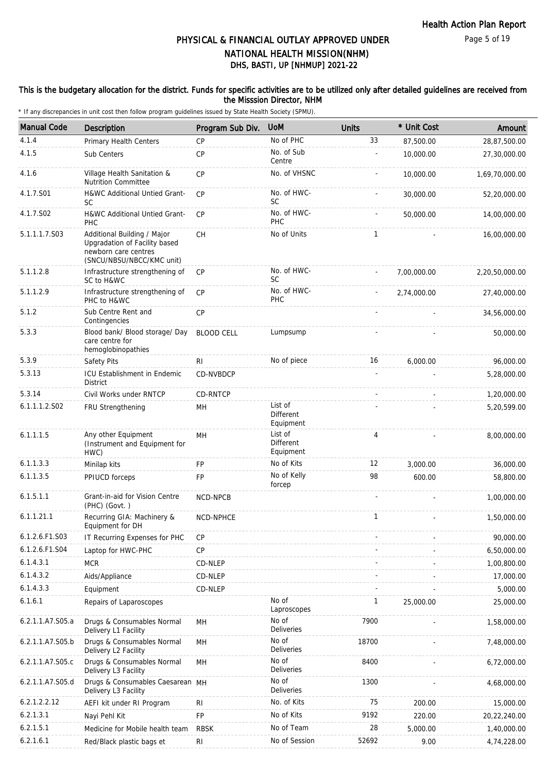### This is the budgetary allocation for the district. Funds for specific activities are to be utilized only after detailed guidelines are received from the Misssion Director, NHM

| <b>Manual Code</b> | <b>Description</b>                                                                                                | Program Sub Div.  | <b>UoM</b>                               | <b>Units</b> | * Unit Cost | Amount         |
|--------------------|-------------------------------------------------------------------------------------------------------------------|-------------------|------------------------------------------|--------------|-------------|----------------|
| 4.1.4              | Primary Health Centers                                                                                            | <b>CP</b>         | No of PHC                                | 33           | 87,500.00   | 28,87,500.00   |
| 4.1.5              | Sub Centers                                                                                                       | <b>CP</b>         | No. of Sub<br>Centre                     |              | 10,000.00   | 27,30,000.00   |
| 4.1.6              | Village Health Sanitation &<br><b>Nutrition Committee</b>                                                         | CP                | No. of VHSNC                             |              | 10,000.00   | 1,69,70,000.00 |
| 4.1.7.S01          | H&WC Additional Untied Grant-<br><b>SC</b>                                                                        | <b>CP</b>         | No. of HWC-<br><b>SC</b>                 |              | 30,000.00   | 52,20,000.00   |
| 4.1.7.S02          | H&WC Additional Untied Grant-<br>PHC                                                                              | <b>CP</b>         | No. of HWC-<br>PHC                       |              | 50,000.00   | 14,00,000.00   |
| 5.1.1.1.7.S03      | Additional Building / Major<br>Upgradation of Facility based<br>newborn care centres<br>(SNCU/NBSU/NBCC/KMC unit) | CH                | No of Units                              | $\mathbf{1}$ |             | 16,00,000.00   |
| 5.1.1.2.8          | Infrastructure strengthening of<br>SC to H&WC                                                                     | CP                | No. of HWC-<br>SC                        |              | 7,00,000.00 | 2,20,50,000.00 |
| 5.1.1.2.9          | Infrastructure strengthening of<br>PHC to H&WC                                                                    | CP                | No. of HWC-<br>PHC                       |              | 2,74,000.00 | 27,40,000.00   |
| 5.1.2              | Sub Centre Rent and<br>Contingencies                                                                              | <b>CP</b>         |                                          |              |             | 34,56,000.00   |
| 5.3.3              | Blood bank/ Blood storage/ Day<br>care centre for<br>hemoglobinopathies                                           | <b>BLOOD CELL</b> | Lumpsump                                 |              |             | 50,000.00      |
| 5.3.9              | Safety Pits                                                                                                       | R <sub>l</sub>    | No of piece                              | 16           | 6,000.00    | 96,000.00      |
| 5.3.13             | ICU Establishment in Endemic<br>District                                                                          | CD-NVBDCP         |                                          |              |             | 5,28,000.00    |
| 5.3.14             | Civil Works under RNTCP                                                                                           | CD-RNTCP          |                                          |              |             | 1,20,000.00    |
| 6.1.1.1.2.S02      | FRU Strengthening                                                                                                 | MН                | List of<br><b>Different</b><br>Equipment |              |             | 5,20,599.00    |
| 6.1.1.1.5          | Any other Equipment<br>(Instrument and Equipment for<br>HWC)                                                      | MH                | List of<br>Different<br>Equipment        | 4            |             | 8,00,000.00    |
| 6.1.1.3.3          | Minilap kits                                                                                                      | <b>FP</b>         | No of Kits                               | 12           | 3,000.00    | 36,000.00      |
| 6.1.1.3.5          | PPIUCD forceps                                                                                                    | FP                | No of Kelly<br>forcep                    | 98           | 600.00      | 58,800.00      |
| 6.1.5.1.1          | Grant-in-aid for Vision Centre<br>(PHC) (Govt.)                                                                   | NCD-NPCB          |                                          |              |             | 1,00,000.00    |
| 6.1.1.21.1         | Recurring GIA: Machinery &<br>Equipment for DH                                                                    | NCD-NPHCE         |                                          | 1            |             | 1,50,000.00    |
| 6.1.2.6.F1.S03     | IT Recurring Expenses for PHC                                                                                     | CP                |                                          |              |             | 90,000.00      |
| 6.1.2.6.F1.S04     | Laptop for HWC-PHC                                                                                                | <b>CP</b>         |                                          |              |             | 6,50,000.00    |
| 6.1.4.3.1          | <b>MCR</b>                                                                                                        | CD-NLEP           |                                          |              |             | 1,00,800.00    |
| 6.1.4.3.2          | Aids/Appliance                                                                                                    | CD-NLEP           |                                          |              |             | 17,000.00      |
| 6.1.4.3.3          | Equipment                                                                                                         | CD-NLEP           |                                          |              |             | 5,000.00       |
| 6.1.6.1            | Repairs of Laparoscopes                                                                                           |                   | No of<br>Laproscopes                     | 1            | 25,000.00   | 25,000.00      |
| 6.2.1.1.A7.S05.a   | Drugs & Consumables Normal<br>Delivery L1 Facility                                                                | MН                | No of<br><b>Deliveries</b>               | 7900         |             | 1,58,000.00    |
| 6.2.1.1.A7.S05.b   | Drugs & Consumables Normal<br>Delivery L2 Facility                                                                | MH                | No of<br>Deliveries                      | 18700        |             | 7,48,000.00    |
| 6.2.1.1.A7.S05.c   | Drugs & Consumables Normal<br>Delivery L3 Facility                                                                | MH                | No of<br>Deliveries                      | 8400         |             | 6,72,000.00    |
| 6.2.1.1.A7.S05.d   | Drugs & Consumables Caesarean MH<br>Delivery L3 Facility                                                          |                   | No of<br>Deliveries                      | 1300         |             | 4,68,000.00    |
| 6.2.1.2.2.12       | AEFI kit under RI Program                                                                                         | R <sub>l</sub>    | No. of Kits                              | 75           | 200.00      | 15,000.00      |
| 6.2.1.3.1          | Nayi Pehl Kit                                                                                                     | FP                | No of Kits                               | 9192         | 220.00      | 20,22,240.00   |
| 6.2.1.5.1          | Medicine for Mobile health team                                                                                   | <b>RBSK</b>       | No of Team                               | 28           | 5,000.00    | 1,40,000.00    |
| 6.2.1.6.1          | Red/Black plastic bags et                                                                                         | R <sub>l</sub>    | No of Session                            | 52692        | 9.00        | 4,74,228.00    |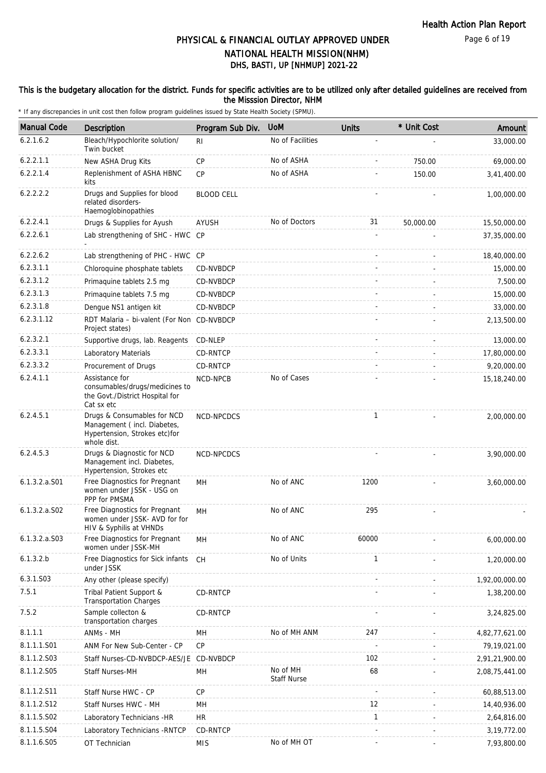### This is the budgetary allocation for the district. Funds for specific activities are to be utilized only after detailed guidelines are received from the Misssion Director, NHM

| <b>Manual Code</b> | <b>Description</b>                                                                                         | Program Sub Div.  | <b>UoM</b>                     | <b>Units</b> | * Unit Cost | Amount         |
|--------------------|------------------------------------------------------------------------------------------------------------|-------------------|--------------------------------|--------------|-------------|----------------|
| 6.2.1.6.2          | Bleach/Hypochlorite solution/<br>Twin bucket                                                               | RI.               | No of Facilities               |              |             | 33,000.00      |
| 6.2.2.1.1          | New ASHA Drug Kits                                                                                         | <b>CP</b>         | No of ASHA                     |              | 750.00      | 69,000.00      |
| 6.2.2.1.4          | Replenishment of ASHA HBNC<br>kits                                                                         | <b>CP</b>         | No of ASHA                     |              | 150.00      | 3,41,400.00    |
| 6.2.2.2.2          | Drugs and Supplies for blood<br>related disorders-<br>Haemoglobinopathies                                  | <b>BLOOD CELL</b> |                                |              |             | 1,00,000.00    |
| 6.2.2.4.1          | Drugs & Supplies for Ayush                                                                                 | AYUSH             | No of Doctors                  | 31           | 50,000.00   | 15,50,000.00   |
| 6.2.2.6.1          | Lab strengthening of SHC - HWC CP                                                                          |                   |                                |              |             | 37,35,000.00   |
| 6.2.2.6.2          | Lab strengthening of PHC - HWC CP                                                                          |                   |                                |              |             | 18,40,000.00   |
| 6.2.3.1.1          | Chloroquine phosphate tablets                                                                              | CD-NVBDCP         |                                |              |             | 15,000.00      |
| 6.2.3.1.2          | Primaquine tablets 2.5 mg                                                                                  | CD-NVBDCP         |                                |              |             | 7,500.00       |
| 6.2.3.1.3          | Primaquine tablets 7.5 mg                                                                                  | CD-NVBDCP         |                                |              |             | 15,000.00      |
| 6.2.3.1.8          | Dengue NS1 antigen kit                                                                                     | CD-NVBDCP         |                                |              |             | 33,000.00      |
| 6.2.3.1.12         | RDT Malaria - bi-valent (For Non CD-NVBDCP<br>Project states)                                              |                   |                                |              |             | 2,13,500.00    |
| 6.2.3.2.1          | Supportive drugs, lab. Reagents                                                                            | CD-NLEP           |                                |              |             | 13,000.00      |
| 6.2.3.3.1          | Laboratory Materials                                                                                       | CD-RNTCP          |                                |              |             | 17,80,000.00   |
| 6.2.3.3.2          | Procurement of Drugs                                                                                       | CD-RNTCP          |                                |              |             | 9,20,000.00    |
| 6.2.4.1.1          | Assistance for<br>consumables/drugs/medicines to<br>the Govt./District Hospital for<br>Cat sx etc          | <b>NCD-NPCB</b>   | No of Cases                    |              |             | 15, 18, 240.00 |
| 6.2.4.5.1          | Drugs & Consumables for NCD<br>Management (incl. Diabetes,<br>Hypertension, Strokes etc)for<br>whole dist. | NCD-NPCDCS        |                                | $\mathbf{1}$ |             | 2,00,000.00    |
| 6.2.4.5.3          | Drugs & Diagnostic for NCD<br>Management incl. Diabetes,<br>Hypertension, Strokes etc                      | NCD-NPCDCS        |                                |              |             | 3,90,000.00    |
| 6.1.3.2.a.S01      | Free Diagnostics for Pregnant<br>women under JSSK - USG on<br>PPP for PMSMA                                | MH                | No of ANC                      | 1200         |             | 3,60,000.00    |
| $6.1.3.2.a.$ SO2   | Free Diagnostics for Pregnant<br>women under JSSK- AVD for for<br>HIV & Syphilis at VHNDs                  | MН                | No of ANC                      | 295          |             |                |
| $6.1.3.2.a.$ SO3   | Free Diagnostics for Pregnant<br>women under JSSK-MH                                                       | MH                | No of ANC                      | 60000        |             | 6,00,000.00    |
| 6.1.3.2.b          | Free Diagnostics for Sick infants<br>under JSSK                                                            | CH                | No of Units                    | $\mathbf{1}$ |             | 1,20,000.00    |
| 6.3.1.S03          | Any other (please specify)                                                                                 |                   |                                |              |             | 1,92,00,000.00 |
| 7.5.1              | Tribal Patient Support &<br><b>Transportation Charges</b>                                                  | CD-RNTCP          |                                |              |             | 1,38,200.00    |
| 7.5.2              | Sample collecton &<br>transportation charges                                                               | CD-RNTCP          |                                |              |             | 3,24,825.00    |
| 8.1.1.1            | ANMs - MH                                                                                                  | MH                | No of MH ANM                   | 247          |             | 4,82,77,621.00 |
| 8.1.1.1.S01        | ANM For New Sub-Center - CP                                                                                | <b>CP</b>         |                                |              |             | 79,19,021.00   |
| 8.1.1.2.S03        | Staff Nurses-CD-NVBDCP-AES/JE CD-NVBDCP                                                                    |                   |                                | 102          |             | 2,91,21,900.00 |
| 8.1.1.2.S05        | Staff Nurses-MH                                                                                            | MH                | No of MH<br><b>Staff Nurse</b> | 68           |             | 2,08,75,441.00 |
| 8.1.1.2.S11        | Staff Nurse HWC - CP                                                                                       | <b>CP</b>         |                                |              |             | 60,88,513.00   |
| 8.1.1.2.S12        | Staff Nurses HWC - MH                                                                                      | MН                |                                | 12           |             | 14,40,936.00   |
| 8.1.1.5.S02        | Laboratory Technicians -HR                                                                                 | HR.               |                                | $\mathbf{1}$ |             | 2,64,816.00    |
| 8.1.1.5.S04        | Laboratory Technicians - RNTCP                                                                             | CD-RNTCP          |                                |              |             | 3, 19, 772.00  |
| 8.1.1.6.S05        | OT Technician                                                                                              | <b>MIS</b>        | No of MH OT                    |              |             | 7,93,800.00    |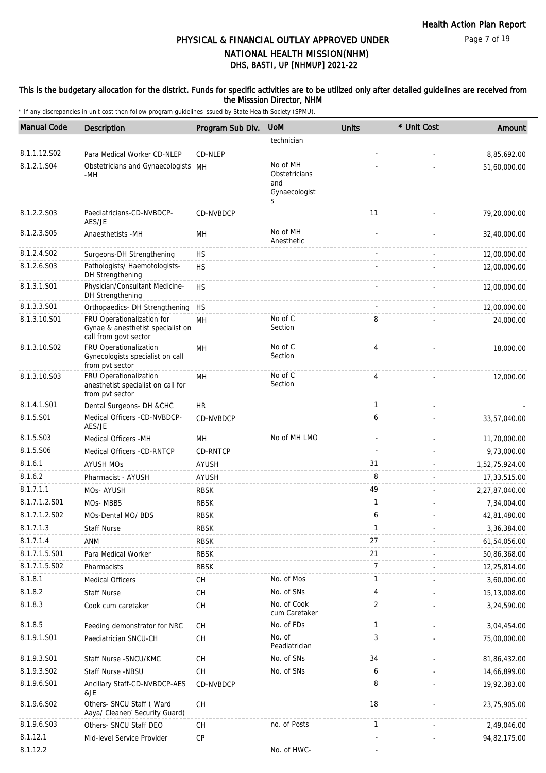### This is the budgetary allocation for the district. Funds for specific activities are to be utilized only after detailed guidelines are received from the Misssion Director, NHM

| <b>Manual Code</b> | <b>Description</b>                                                                       | Program Sub Div.                         | <b>UoM</b>                                             | <b>Units</b>   | * Unit Cost | Amount         |
|--------------------|------------------------------------------------------------------------------------------|------------------------------------------|--------------------------------------------------------|----------------|-------------|----------------|
|                    |                                                                                          |                                          | technician                                             |                |             |                |
| 8.1.1.12.S02       | Para Medical Worker CD-NLEP                                                              | CD-NLEP                                  |                                                        |                |             | 8,85,692.00    |
| 8.1.2.1.S04        | Obstetricians and Gynaecologists MH<br>-MH                                               |                                          | No of MH<br>Obstetricians<br>and<br>Gynaecologist<br>S |                |             | 51,60,000.00   |
| 8.1.2.2.S03        | Paediatricians-CD-NVBDCP-<br>AES/JE                                                      | CD-NVBDCP                                |                                                        | 11             |             | 79,20,000.00   |
| 8.1.2.3.S05        | Anaesthetists -MH                                                                        | MН                                       | No of MH<br>Anesthetic                                 |                |             | 32,40,000.00   |
| 8.1.2.4.S02        | Surgeons-DH Strengthening                                                                | <b>HS</b>                                |                                                        |                |             | 12,00,000.00   |
| 8.1.2.6.S03        | Pathologists/ Haemotologists-<br>DH Strengthening                                        | <b>HS</b>                                |                                                        |                |             | 12,00,000.00   |
| 8.1.3.1.S01        | Physician/Consultant Medicine-<br>DH Strengthening                                       | <b>HS</b>                                |                                                        |                |             | 12,00,000.00   |
| 8.1.3.3.S01        | Orthopaedics- DH Strengthening                                                           | <b>HS</b>                                |                                                        |                |             | 12,00,000.00   |
| 8.1.3.10.S01       | FRU Operationalization for<br>Gynae & anesthetist specialist on<br>call from govt sector | MH                                       | No of C<br>Section                                     | 8              |             | 24,000.00      |
| 8.1.3.10.S02       | FRU Operationalization<br>Gynecologists specialist on call<br>from pvt sector            | MH                                       | No of C<br>Section                                     | 4              |             | 18,000.00      |
| 8.1.3.10.S03       | FRU Operationalization<br>anesthetist specialist on call for<br>from pvt sector          | <b>MH</b>                                | No of C<br>Section                                     | $\overline{4}$ |             | 12,000.00      |
| 8.1.4.1.S01        | Dental Surgeons- DH & CHC                                                                | HR                                       |                                                        | $\mathbf{1}$   |             |                |
| 8.1.5.S01          | Medical Officers -CD-NVBDCP-<br>AES/JE                                                   | CD-NVBDCP                                |                                                        | 6              |             | 33,57,040.00   |
| 8.1.5.S03          | Medical Officers -MH                                                                     | MН                                       | No of MH LMO                                           |                |             | 11,70,000.00   |
| 8.1.5.S06          | Medical Officers -CD-RNTCP                                                               | CD-RNTCP                                 |                                                        |                |             | 9,73,000.00    |
| 8.1.6.1            | <b>AYUSH MOS</b>                                                                         | <b>AYUSH</b>                             |                                                        | 31             |             | 1,52,75,924.00 |
| 8.1.6.2            | Pharmacist - AYUSH                                                                       | AYUSH                                    |                                                        | 8              |             | 17,33,515.00   |
| 8.1.7.1.1          | MOs-AYUSH                                                                                | <b>RBSK</b>                              |                                                        | 49             |             | 2,27,87,040.00 |
| 8.1.7.1.2.S01      | MOs-MBBS                                                                                 | <b>RBSK</b>                              |                                                        | $\mathbf{1}$   |             | 7,34,004.00    |
| 8.1.7.1.2.S02      | MOs-Dental MO/ BDS                                                                       | <b>RBSK</b>                              |                                                        | 6              |             | 42,81,480.00   |
| 8.1.7.1.3          | <b>Staff Nurse</b>                                                                       | <b>RBSK</b>                              |                                                        | 1              |             | 3.36.384.00    |
| 8.1.7.1.4          | ANM                                                                                      | <b>RBSK</b>                              |                                                        | 27             |             | 61,54,056.00   |
| 8.1.7.1.5.S01      | Para Medical Worker                                                                      | <b>RBSK</b>                              |                                                        | 21             |             | 50,86,368.00   |
| 8.1.7.1.5.S02      | Pharmacists                                                                              | <b>RBSK</b>                              |                                                        | 7              |             | 12,25,814.00   |
| 8.1.8.1            | <b>Medical Officers</b>                                                                  | CH                                       | No. of Mos                                             | $\mathbf{1}$   |             | 3,60,000.00    |
| 8.1.8.2            | <b>Staff Nurse</b>                                                                       | <b>CH</b>                                | No. of SNs                                             | 4              |             | 15,13,008.00   |
| 8.1.8.3            | Cook cum caretaker                                                                       | CH                                       | No. of Cook<br>cum Caretaker                           | 2              |             | 3,24,590.00    |
| 8.1.8.5            | Feeding demonstrator for NRC                                                             | <b>CH</b>                                | No. of FDs                                             | 1              |             | 3,04,454.00    |
| 8.1.9.1.S01        | Paediatrician SNCU-CH                                                                    | CH                                       | No. of<br>Peadiatrician                                | 3              |             | 75,00,000.00   |
| 8.1.9.3.S01        | Staff Nurse - SNCU/KMC                                                                   | СH                                       | No. of SNs                                             | 34             |             | 81,86,432.00   |
| 8.1.9.3.SO2        | Staff Nurse -NBSU                                                                        | $\mathsf{CH}% \left( \mathcal{M}\right)$ | No. of SNs                                             | 6              |             | 14,66,899.00   |
| 8.1.9.6.S01        | Ancillary Staff-CD-NVBDCP-AES<br>&JE                                                     | CD-NVBDCP                                |                                                        | 8              |             | 19,92,383.00   |
| 8.1.9.6.SO2        | Others- SNCU Staff (Ward<br>Aaya/ Cleaner/ Security Guard)                               | <b>CH</b>                                |                                                        | 18             |             | 23,75,905.00   |
| 8.1.9.6.S03        | Others- SNCU Staff DEO                                                                   | <b>CH</b>                                | no. of Posts                                           | $\mathbf{1}$   |             | 2,49,046.00    |
| 8.1.12.1           | Mid-level Service Provider                                                               | CP                                       |                                                        |                |             | 94,82,175.00   |
| 8.1.12.2           |                                                                                          |                                          | No. of HWC-                                            |                |             |                |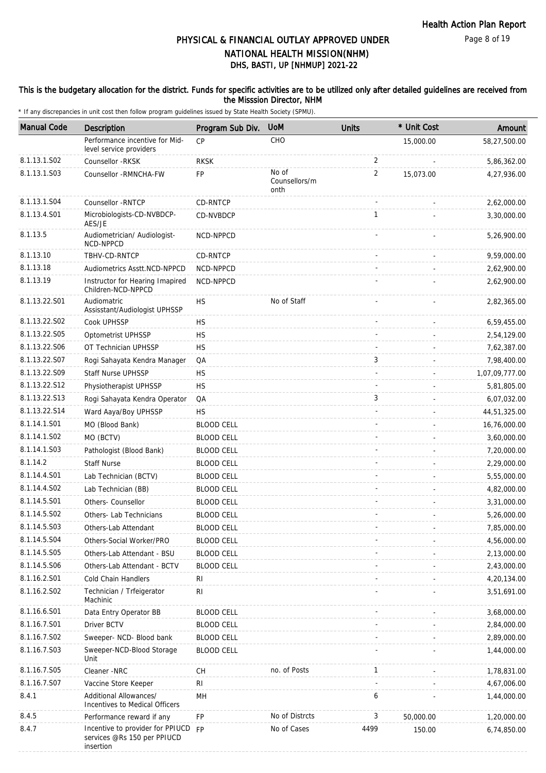### This is the budgetary allocation for the district. Funds for specific activities are to be utilized only after detailed guidelines are received from the Misssion Director, NHM

| <b>Manual Code</b> | Description                                                                     | Program Sub Div.  | <b>UoM</b>                     | <b>Units</b> | * Unit Cost | Amount         |
|--------------------|---------------------------------------------------------------------------------|-------------------|--------------------------------|--------------|-------------|----------------|
|                    | Performance incentive for Mid-<br>level service providers                       | <b>CP</b>         | CHO                            |              | 15,000.00   | 58,27,500.00   |
| 8.1.13.1.S02       | Counsellor -RKSK                                                                | <b>RKSK</b>       |                                | 2            |             | 5,86,362.00    |
| 8.1.13.1.S03       | Counsellor - RMNCHA-FW                                                          | <b>FP</b>         | No of<br>Counsellors/m<br>onth | 2            | 15,073.00   | 4,27,936.00    |
| 8.1.13.1.S04       | Counsellor - RNTCP                                                              | CD-RNTCP          |                                |              |             | 2,62,000.00    |
| 8.1.13.4.S01       | Microbiologists-CD-NVBDCP-<br>AES/JE                                            | CD-NVBDCP         |                                | $\mathbf{1}$ |             | 3,30,000.00    |
| 8.1.13.5           | Audiometrician/ Audiologist-<br>NCD-NPPCD                                       | NCD-NPPCD         |                                |              |             | 5,26,900.00    |
| 8.1.13.10          | TBHV-CD-RNTCP                                                                   | CD-RNTCP          |                                |              |             | 9,59,000.00    |
| 8.1.13.18          | Audiometrics Asstt.NCD-NPPCD                                                    | NCD-NPPCD         |                                |              |             | 2,62,900.00    |
| 8.1.13.19          | Instructor for Hearing Imapired<br>Children-NCD-NPPCD                           | NCD-NPPCD         |                                |              |             | 2,62,900.00    |
| 8.1.13.22.S01      | Audiomatric<br>Assisstant/Audiologist UPHSSP                                    | HS                | No of Staff                    |              |             | 2,82,365.00    |
| 8.1.13.22.S02      | Cook UPHSSP                                                                     | <b>HS</b>         |                                |              |             | 6,59,455.00    |
| 8.1.13.22.S05      | Optometrist UPHSSP                                                              | <b>HS</b>         |                                |              |             | 2,54,129.00    |
| 8.1.13.22.S06      | OT Technician UPHSSP                                                            | <b>HS</b>         |                                |              |             | 7,62,387.00    |
| 8.1.13.22.S07      | Rogi Sahayata Kendra Manager                                                    | QA                |                                | 3            |             | 7,98,400.00    |
| 8.1.13.22.S09      | <b>Staff Nurse UPHSSP</b>                                                       | HS                |                                |              |             | 1,07,09,777.00 |
| 8.1.13.22.S12      | Physiotherapist UPHSSP                                                          | <b>HS</b>         |                                |              |             | 5,81,805.00    |
| 8.1.13.22.S13      | Rogi Sahayata Kendra Operator                                                   | QA                |                                | 3            |             | 6,07,032.00    |
| 8.1.13.22.S14      | Ward Aaya/Boy UPHSSP                                                            | <b>HS</b>         |                                |              |             | 44,51,325.00   |
| 8.1.14.1.S01       | MO (Blood Bank)                                                                 | <b>BLOOD CELL</b> |                                |              |             | 16,76,000.00   |
| 8.1.14.1.S02       | MO (BCTV)                                                                       | <b>BLOOD CELL</b> |                                |              |             | 3,60,000.00    |
| 8.1.14.1.S03       | Pathologist (Blood Bank)                                                        | <b>BLOOD CELL</b> |                                |              |             | 7,20,000.00    |
| 8.1.14.2           | <b>Staff Nurse</b>                                                              | <b>BLOOD CELL</b> |                                |              |             | 2,29,000.00    |
| 8.1.14.4.S01       | Lab Technician (BCTV)                                                           | <b>BLOOD CELL</b> |                                |              |             | 5,55,000.00    |
| 8.1.14.4.S02       | Lab Technician (BB)                                                             | <b>BLOOD CELL</b> |                                |              |             | 4,82,000.00    |
| 8.1.14.5.S01       | Others- Counsellor                                                              | <b>BLOOD CELL</b> |                                |              |             | 3,31,000.00    |
| 8.1.14.5.S02       | Others- Lab Technicians                                                         | <b>BLOOD CELL</b> |                                |              |             | 5,26,000.00    |
| 8.1.14.5.S03       | Others-Lab Attendant                                                            | <b>BLOOD CELL</b> |                                |              |             | 7,85,000.00    |
| 8.1.14.5.S04       | Others-Social Worker/PRO                                                        | <b>BLOOD CELL</b> |                                |              |             | 4,56,000.00    |
| 8.1.14.5.S05       | Others-Lab Attendant - BSU                                                      | <b>BLOOD CELL</b> |                                |              |             | 2,13,000.00    |
| 8.1.14.5.S06       | Others-Lab Attendant - BCTV                                                     | <b>BLOOD CELL</b> |                                |              |             | 2,43,000.00    |
| 8.1.16.2.S01       | Cold Chain Handlers                                                             | <b>RI</b>         |                                |              |             | 4,20,134.00    |
| 8.1.16.2.S02       | Technician / Trfeigerator<br>Machinic                                           | R <sub>l</sub>    |                                |              |             | 3,51,691.00    |
| 8.1.16.6.S01       | Data Entry Operator BB                                                          | <b>BLOOD CELL</b> |                                |              |             | 3,68,000.00    |
| 8.1.16.7.S01       | Driver BCTV                                                                     | <b>BLOOD CELL</b> |                                |              |             | 2,84,000.00    |
| 8.1.16.7.S02       | Sweeper- NCD- Blood bank                                                        | <b>BLOOD CELL</b> |                                |              |             | 2,89,000.00    |
| 8.1.16.7.S03       | Sweeper-NCD-Blood Storage<br>Unit                                               | <b>BLOOD CELL</b> |                                |              |             | 1,44,000.00    |
| 8.1.16.7.S05       | Cleaner -NRC                                                                    | СH                | no. of Posts                   | 1            |             | 1,78,831.00    |
| 8.1.16.7.S07       | Vaccine Store Keeper                                                            | R <sub>l</sub>    |                                |              |             | 4,67,006.00    |
| 8.4.1              | Additional Allowances/<br>Incentives to Medical Officers                        | MН                |                                | 6            |             | 1,44,000.00    |
| 8.4.5              | Performance reward if any                                                       | <b>FP</b>         | No of Distrcts                 | 3            | 50,000.00   | 1,20,000.00    |
| 8.4.7              | Incentive to provider for PPIUCD FP<br>services @Rs 150 per PPIUCD<br>insertion |                   | No of Cases                    | 4499         | 150.00      | 6,74,850.00    |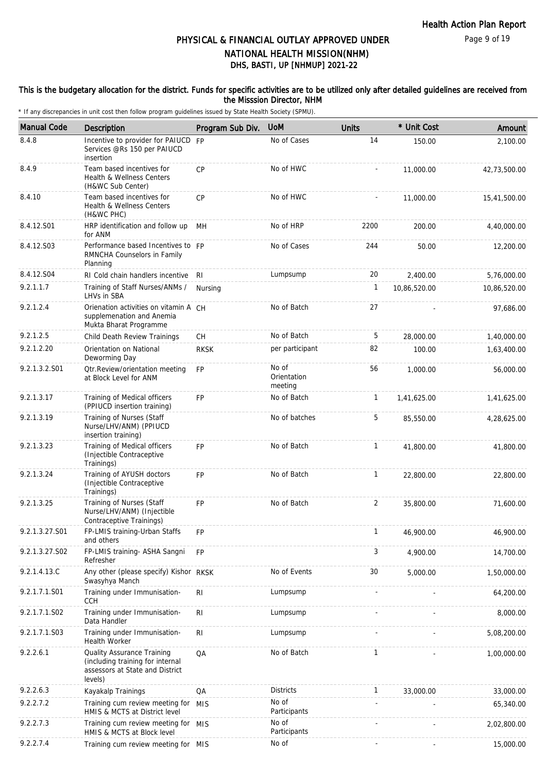### This is the budgetary allocation for the district. Funds for specific activities are to be utilized only after detailed guidelines are received from the Misssion Director, NHM

| <b>Manual Code</b> | <b>Description</b>                                                                                           | Program Sub Div. | <b>UoM</b>                      | <b>Units</b>   | * Unit Cost  | Amount       |
|--------------------|--------------------------------------------------------------------------------------------------------------|------------------|---------------------------------|----------------|--------------|--------------|
| 8.4.8              | Incentive to provider for PAIUCD                                                                             | FP               | No of Cases                     | 14             | 150.00       | 2,100.00     |
|                    | Services @Rs 150 per PAIUCD<br>insertion                                                                     |                  |                                 |                |              |              |
| 8.4.9              | Team based incentives for<br>Health & Wellness Centers<br>(H&WC Sub Center)                                  | CP               | No of HWC                       |                | 11,000.00    | 42,73,500.00 |
| 8.4.10             | Team based incentives for<br>Health & Wellness Centers<br>(H&WC PHC)                                         | CP               | No of HWC                       |                | 11,000.00    | 15,41,500.00 |
| 8.4.12.S01         | HRP identification and follow up<br>for ANM                                                                  | MH               | No of HRP                       | 2200           | 200.00       | 4,40,000.00  |
| 8.4.12.S03         | Performance based Incentives to FP<br>RMNCHA Counselors in Family<br>Planning                                |                  | No of Cases                     | 244            | 50.00        | 12,200.00    |
| 8.4.12.S04         | RI Cold chain handlers incentive                                                                             | RI.              | Lumpsump                        | 20             | 2,400.00     | 5,76,000.00  |
| 9.2.1.1.7          | Training of Staff Nurses/ANMs /<br>LHVs in SBA                                                               | Nursing          |                                 | 1              | 10,86,520.00 | 10,86,520.00 |
| 9.2.1.2.4          | Orienation activities on vitamin A CH<br>supplemenation and Anemia<br>Mukta Bharat Programme                 |                  | No of Batch                     | 27             |              | 97,686.00    |
| 9.2.1.2.5          | Child Death Review Trainings                                                                                 | СH               | No of Batch                     | 5              | 28,000.00    | 1,40,000.00  |
| 9.2.1.2.20         | Orientation on National<br>Deworming Day                                                                     | <b>RKSK</b>      | per participant                 | 82             | 100.00       | 1,63,400.00  |
| 9.2.1.3.2.S01      | <b>Qtr.Review/orientation meeting</b><br>at Block Level for ANM                                              | <b>FP</b>        | No of<br>Orientation<br>meeting | 56             | 1,000.00     | 56,000.00    |
| 9.2.1.3.17         | Training of Medical officers<br>(PPIUCD insertion training)                                                  | <b>FP</b>        | No of Batch                     | $\mathbf{1}$   | 1,41,625.00  | 1,41,625.00  |
| 9.2.1.3.19         | Training of Nurses (Staff<br>Nurse/LHV/ANM) (PPIUCD<br>insertion training)                                   |                  | No of batches                   | 5              | 85,550.00    | 4,28,625.00  |
| 9.2.1.3.23         | Training of Medical officers<br>(Injectible Contraceptive<br>Trainings)                                      | <b>FP</b>        | No of Batch                     | $\mathbf{1}$   | 41,800.00    | 41,800.00    |
| 9.2.1.3.24         | Training of AYUSH doctors<br>(Injectible Contraceptive<br>Trainings)                                         | <b>FP</b>        | No of Batch                     | $\mathbf{1}$   | 22,800.00    | 22,800.00    |
| 9.2.1.3.25         | Training of Nurses (Staff<br>Nurse/LHV/ANM) (Injectible<br>Contraceptive Trainings)                          | <b>FP</b>        | No of Batch                     | $\overline{2}$ | 35,800.00    | 71,600.00    |
| 9.2.1.3.27.S01     | FP-LMIS training-Urban Staffs<br>and others                                                                  | FP               |                                 | $\mathbf{1}$   | 46,900.00    | 46,900.00    |
| 9.2.1.3.27.S02     | FP-LMIS training- ASHA Sangni<br>Refresher                                                                   | <b>FP</b>        |                                 | 3              | 4,900.00     | 14,700.00    |
| 9.2.1.4.13.C       | Any other (please specify) Kishor<br>Swasyhya Manch                                                          | <b>RKSK</b>      | No of Events                    | 30             | 5,000.00     | 1,50,000.00  |
| 9.2.1.7.1.S01      | Training under Immunisation-<br><b>CCH</b>                                                                   | R <sub>l</sub>   | Lumpsump                        |                |              | 64,200.00    |
| 9.2.1.7.1.S02      | Training under Immunisation-<br>Data Handler                                                                 | <b>RI</b>        | Lumpsump                        |                |              | 8,000.00     |
| 9.2.1.7.1.S03      | Training under Immunisation-<br><b>Health Worker</b>                                                         | R <sub>l</sub>   | Lumpsump                        |                |              | 5,08,200.00  |
| 9.2.2.6.1          | Quality Assurance Training<br>(including training for internal<br>assessors at State and District<br>levels) | QA               | No of Batch                     | 1              |              | 1,00,000.00  |
| 9.2.2.6.3          | Kayakalp Trainings                                                                                           | QA               | <b>Districts</b>                | $\mathbf{1}$   | 33,000.00    | 33,000.00    |
| 9.2.2.7.2          | Training cum review meeting for MIS<br>HMIS & MCTS at District level                                         |                  | No of<br>Participants           |                |              | 65,340.00    |
| 9.2.2.7.3          | Training cum review meeting for MIS<br>HMIS & MCTS at Block level                                            |                  | No of<br>Participants           |                |              | 2,02,800.00  |
| 9.2.2.7.4          | Training cum review meeting for MIS                                                                          |                  | No of                           |                |              | 15,000.00    |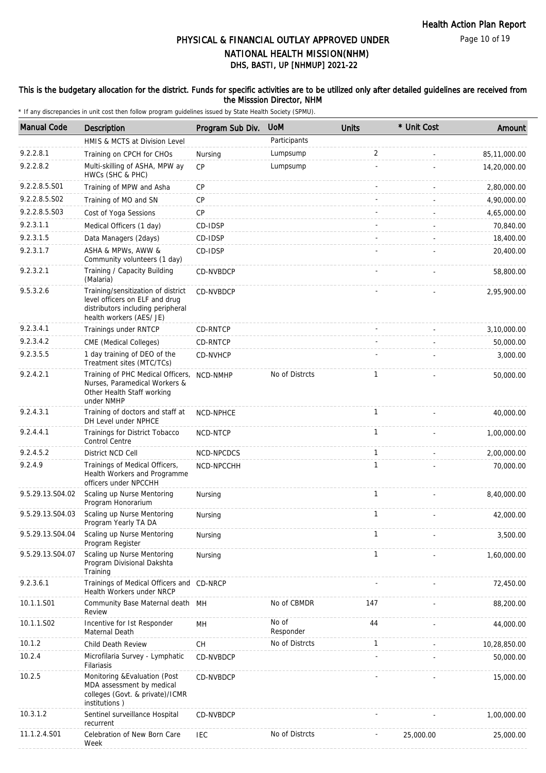#### This is the budgetary allocation for the district. Funds for specific activities are to be utilized only after detailed guidelines are received from the Misssion Director, NHM

| <b>Manual Code</b> | Description                                                                                                                           | Program Sub Div. | <b>UoM</b>         | <b>Units</b> | * Unit Cost | Amount       |
|--------------------|---------------------------------------------------------------------------------------------------------------------------------------|------------------|--------------------|--------------|-------------|--------------|
|                    | HMIS & MCTS at Division Level                                                                                                         |                  | Participants       |              |             |              |
| 9.2.2.8.1          | Training on CPCH for CHOs                                                                                                             | Nursing          | Lumpsump           | 2            |             | 85,11,000.00 |
| 9.2.2.8.2          | Multi-skilling of ASHA, MPW ay<br>HWCs (SHC & PHC)                                                                                    | <b>CP</b>        | Lumpsump           |              |             | 14,20,000.00 |
| 9.2.2.8.5.S01      | Training of MPW and Asha                                                                                                              | CP               |                    |              |             | 2,80,000.00  |
| 9.2.2.8.5.S02      | Training of MO and SN                                                                                                                 | CP               |                    |              |             | 4,90,000.00  |
| 9.2.2.8.5.S03      | Cost of Yoga Sessions                                                                                                                 | CP               |                    |              |             | 4,65,000.00  |
| 9.2.3.1.1          | Medical Officers (1 day)                                                                                                              | CD-IDSP          |                    |              |             | 70,840.00    |
| 9.2.3.1.5          | Data Managers (2days)                                                                                                                 | CD-IDSP          |                    |              |             | 18,400.00    |
| 9.2.3.1.7          | ASHA & MPWs, AWW &<br>Community volunteers (1 day)                                                                                    | CD-IDSP          |                    |              |             | 20,400.00    |
| 9.2.3.2.1          | Training / Capacity Building<br>(Malaria)                                                                                             | CD-NVBDCP        |                    |              |             | 58,800.00    |
| 9.5.3.2.6          | Training/sensitization of district<br>level officers on ELF and drug<br>distributors including peripheral<br>health workers (AES/ JE) | <b>CD-NVBDCP</b> |                    |              |             | 2,95,900.00  |
| 9.2.3.4.1          | Trainings under RNTCP                                                                                                                 | CD-RNTCP         |                    |              |             | 3,10,000.00  |
| 9.2.3.4.2          | CME (Medical Colleges)                                                                                                                | CD-RNTCP         |                    |              |             | 50,000.00    |
| 9.2.3.5.5          | 1 day training of DEO of the<br>Treatment sites (MTC/TCs)                                                                             | CD-NVHCP         |                    |              |             | 3,000.00     |
| 9.2.4.2.1          | Training of PHC Medical Officers,<br>Nurses, Paramedical Workers &<br>Other Health Staff working<br>under NMHP                        | NCD-NMHP         | No of Distrcts     | $\mathbf{1}$ |             | 50,000.00    |
| 9.2.4.3.1          | Training of doctors and staff at<br>DH Level under NPHCE                                                                              | <b>NCD-NPHCE</b> |                    | $\mathbf{1}$ |             | 40,000.00    |
| 9.2.4.4.1          | Trainings for District Tobacco<br>Control Centre                                                                                      | NCD-NTCP         |                    | $\mathbf{1}$ |             | 1,00,000.00  |
| 9.2.4.5.2          | District NCD Cell                                                                                                                     | NCD-NPCDCS       |                    | $\mathbf{1}$ |             | 2,00,000.00  |
| 9.2.4.9            | Trainings of Medical Officers,<br>Health Workers and Programme<br>officers under NPCCHH                                               | NCD-NPCCHH       |                    | 1            |             | 70,000.00    |
| 9.5.29.13.S04.02   | Scaling up Nurse Mentoring<br>Program Honorarium                                                                                      | Nursing          |                    | 1            |             | 8,40,000.00  |
| 9.5.29.13.S04.03   | Scaling up Nurse Mentoring<br>Program Yearly TA DA                                                                                    | Nursing          |                    | $\mathbf{1}$ |             | 42,000.00    |
| 9.5.29.13.S04.04   | Scaling up Nurse Mentoring<br>Program Register                                                                                        | Nursing          |                    | 1            |             | 3,500.00     |
| 9.5.29.13.S04.07   | Scaling up Nurse Mentoring<br>Program Divisional Dakshta<br>Training                                                                  | Nursing          |                    | $\mathbf{1}$ |             | 1,60,000.00  |
| 9.2.3.6.1          | Trainings of Medical Officers and CD-NRCP<br><b>Health Workers under NRCP</b>                                                         |                  |                    |              |             | 72,450.00    |
| 10.1.1.S01         | Community Base Maternal death MH<br>Review                                                                                            |                  | No of CBMDR        | 147          |             | 88,200.00    |
| 10.1.1.S02         | Incentive for Ist Responder<br>Maternal Death                                                                                         | MH               | No of<br>Responder | 44           |             | 44,000.00    |
| 10.1.2             | Child Death Review                                                                                                                    | <b>CH</b>        | No of Distrcts     | $\mathbf{1}$ |             | 10,28,850.00 |
| 10.2.4             | Microfilaria Survey - Lymphatic<br>Filariasis                                                                                         | CD-NVBDCP        |                    |              |             | 50,000.00    |
| 10.2.5             | Monitoring & Evaluation (Post<br>MDA assessment by medical<br>colleges (Govt. & private)/ICMR<br>institutions)                        | CD-NVBDCP        |                    |              |             | 15,000.00    |
| 10.3.1.2           | Sentinel surveillance Hospital<br>recurrent                                                                                           | CD-NVBDCP        |                    |              |             | 1,00,000.00  |
| 11.1.2.4.S01       | Celebration of New Born Care<br>Week                                                                                                  | <b>IEC</b>       | No of Distrcts     |              | 25,000.00   | 25,000.00    |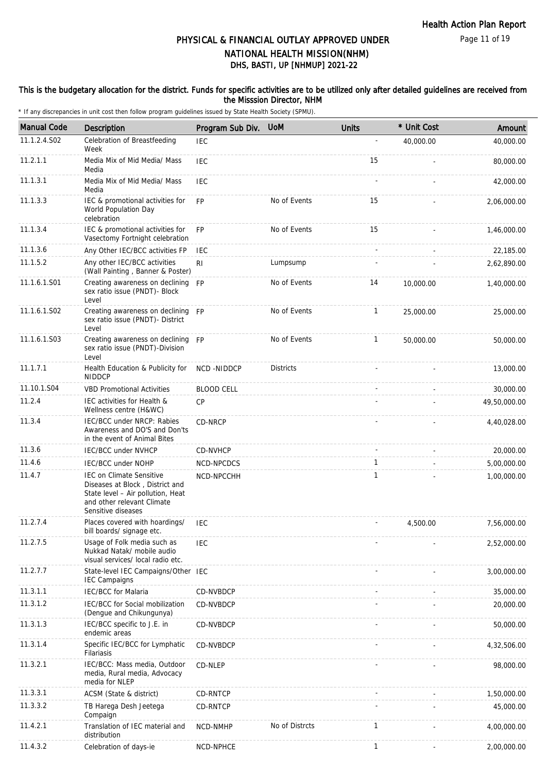#### This is the budgetary allocation for the district. Funds for specific activities are to be utilized only after detailed guidelines are received from the Misssion Director, NHM

| <b>Manual Code</b> | <b>Description</b>                                                                                                                                          | Program Sub Div.  | <b>UoM</b>       | <b>Units</b> | * Unit Cost | Amount       |
|--------------------|-------------------------------------------------------------------------------------------------------------------------------------------------------------|-------------------|------------------|--------------|-------------|--------------|
| 11.1.2.4.S02       | Celebration of Breastfeeding<br>Week                                                                                                                        | <b>IEC</b>        |                  |              | 40,000.00   | 40,000.00    |
| 11.2.1.1           | Media Mix of Mid Media/ Mass<br>Media                                                                                                                       | <b>IEC</b>        |                  | 15           |             | 80,000.00    |
| 11.1.3.1           | Media Mix of Mid Media/ Mass<br>Media                                                                                                                       | <b>IEC</b>        |                  |              |             | 42,000.00    |
| 11.1.3.3           | IEC & promotional activities for<br>World Population Day<br>celebration                                                                                     | FP                | No of Events     | 15           |             | 2,06,000.00  |
| 11.1.3.4           | IEC & promotional activities for<br>Vasectomy Fortnight celebration                                                                                         | <b>FP</b>         | No of Events     | 15           |             | 1,46,000.00  |
| 11.1.3.6           | Any Other IEC/BCC activities FP                                                                                                                             | IEC               |                  |              |             | 22,185.00    |
| 11.1.5.2           | Any other IEC/BCC activities<br>(Wall Painting, Banner & Poster)                                                                                            | R <sub>l</sub>    | Lumpsump         |              |             | 2,62,890.00  |
| 11.1.6.1.S01       | Creating awareness on declining FP<br>sex ratio issue (PNDT)- Block<br>Level                                                                                |                   | No of Events     | 14           | 10,000.00   | 1,40,000.00  |
| 11.1.6.1.S02       | Creating awareness on declining<br>sex ratio issue (PNDT)- District<br>Level                                                                                | <b>FP</b>         | No of Events     | $\mathbf{1}$ | 25,000.00   | 25,000.00    |
| 11.1.6.1.S03       | Creating awareness on declining FP<br>sex ratio issue (PNDT)-Division<br>Level                                                                              |                   | No of Events     | $\mathbf{1}$ | 50,000.00   | 50,000.00    |
| 11.1.7.1           | Health Education & Publicity for<br><b>NIDDCP</b>                                                                                                           | NCD-NIDDCP        | <b>Districts</b> |              |             | 13,000.00    |
| 11.10.1.S04        | <b>VBD Promotional Activities</b>                                                                                                                           | <b>BLOOD CELL</b> |                  |              |             | 30,000.00    |
| 11.2.4             | IEC activities for Health &<br>Wellness centre (H&WC)                                                                                                       | <b>CP</b>         |                  |              |             | 49,50,000.00 |
| 11.3.4             | IEC/BCC under NRCP: Rabies<br>Awareness and DO'S and Don'ts<br>in the event of Animal Bites                                                                 | CD-NRCP           |                  |              |             | 4,40,028.00  |
| 11.3.6             | <b>IEC/BCC under NVHCP</b>                                                                                                                                  | CD-NVHCP          |                  |              |             | 20,000.00    |
| 11.4.6             | <b>IEC/BCC under NOHP</b>                                                                                                                                   | NCD-NPCDCS        |                  | 1            |             | 5,00,000.00  |
| 11.4.7             | <b>IEC on Climate Sensitive</b><br>Diseases at Block, District and<br>State level - Air pollution, Heat<br>and other relevant Climate<br>Sensitive diseases | NCD-NPCCHH        |                  | 1            |             | 1,00,000.00  |
| 11.2.7.4           | Places covered with hoardings/<br>bill boards/ signage etc.                                                                                                 | <b>IEC</b>        |                  |              | 4,500.00    | 7,56,000.00  |
| 11.2.7.5           | Usage of Folk media such as<br>Nukkad Natak/ mobile audio<br>visual services/ local radio etc.                                                              | <b>IEC</b>        |                  |              |             | 2,52,000.00  |
| 11.2.7.7           | State-level IEC Campaigns/Other IEC<br><b>IEC Campaigns</b>                                                                                                 |                   |                  |              |             | 3,00,000.00  |
| 11.3.1.1           | <b>IEC/BCC</b> for Malaria                                                                                                                                  | CD-NVBDCP         |                  |              |             | 35,000.00    |
| 11.3.1.2           | IEC/BCC for Social mobilization<br>(Dengue and Chikungunya)                                                                                                 | CD-NVBDCP         |                  |              |             | 20,000.00    |
| 11.3.1.3           | IEC/BCC specific to J.E. in<br>endemic areas                                                                                                                | CD-NVBDCP         |                  |              |             | 50,000.00    |
| 11.3.1.4           | Specific IEC/BCC for Lymphatic<br>Filariasis                                                                                                                | CD-NVBDCP         |                  |              |             | 4,32,506.00  |
| 11.3.2.1           | IEC/BCC: Mass media, Outdoor<br>media, Rural media, Advocacy<br>media for NLEP                                                                              | CD-NLEP           |                  |              |             | 98,000.00    |
| 11.3.3.1           | ACSM (State & district)                                                                                                                                     | CD-RNTCP          |                  |              |             | 1,50,000.00  |
| 11.3.3.2           | TB Harega Desh Jeetega<br>Compaign                                                                                                                          | CD-RNTCP          |                  |              |             | 45,000.00    |
| 11.4.2.1           | Translation of IEC material and<br>distribution                                                                                                             | NCD-NMHP          | No of Distrcts   | 1            |             | 4,00,000.00  |
| 11.4.3.2           | Celebration of days-ie                                                                                                                                      | NCD-NPHCE         |                  | 1            |             | 2,00,000.00  |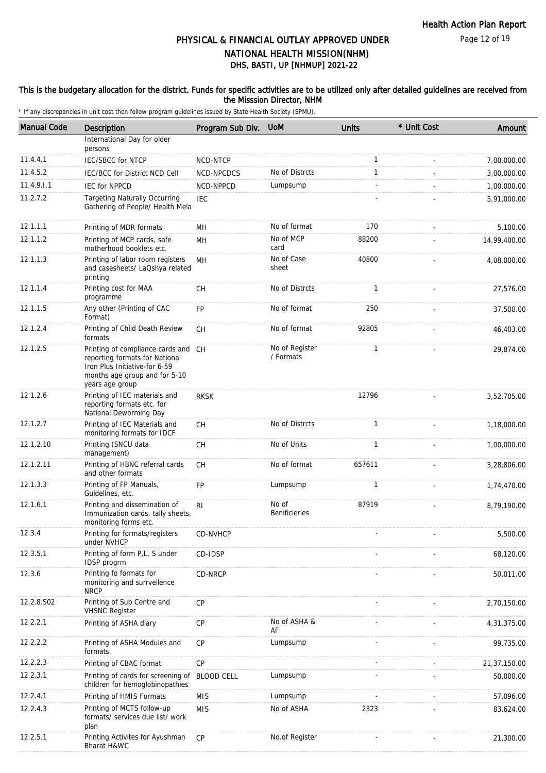Page 12 of 19

# DHS, BASTI, UP [NHMUP] 2021-22 PHYSICAL & FINANCIAL OUTLAY APPROVED UNDER NATIONAL HEALTH MISSION(NHM)

### This is the budgetary allocation for the district. Funds for specific activities are to be utilized only after detailed guidelines are received from the Misssion Director, NHM

| <b>Manual Code</b> | <b>Description</b>                                                                                                                                         | Program Sub Div.  | <b>UoM</b>                    | <b>Units</b> | * Unit Cost | Amount       |
|--------------------|------------------------------------------------------------------------------------------------------------------------------------------------------------|-------------------|-------------------------------|--------------|-------------|--------------|
|                    | International Day for older<br>persons                                                                                                                     |                   |                               |              |             |              |
| 11.4.4.1           | <b>IEC/SBCC for NTCP</b>                                                                                                                                   | NCD-NTCP          |                               | $\mathbf{1}$ |             | 7,00,000.00  |
| 11.4.5.2           | IEC/BCC for District NCD Cell                                                                                                                              | NCD-NPCDCS        | No of Distrcts                | $\mathbf{1}$ |             | 3,00,000.00  |
| 11.4.9.1.1         | <b>IEC for NPPCD</b>                                                                                                                                       | NCD-NPPCD         | Lumpsump                      |              |             | 1,00,000.00  |
| 11.2.7.2           | <b>Targeting Naturally Occurring</b><br>Gathering of People/ Health Mela                                                                                   | <b>IEC</b>        |                               |              |             | 5,91,000.00  |
| 12.1.1.1           | Printing of MDR formats                                                                                                                                    | MН                | No of format                  | 170          |             | 5,100.00     |
| 12.1.1.2           | Printing of MCP cards, safe<br>motherhood booklets etc.                                                                                                    | MH                | No of MCP<br>card             | 88200        |             | 14,99,400.00 |
| 12.1.1.3           | Printing of labor room registers<br>and casesheets/ LaQshya related<br>printing                                                                            | <b>MH</b>         | No of Case<br>sheet           | 40800        |             | 4,08,000.00  |
| 12.1.1.4           | Printing cost for MAA<br>programme                                                                                                                         | <b>CH</b>         | No of Distrcts                | $\mathbf{1}$ |             | 27,576.00    |
| 12.1.1.5           | Any other (Printing of CAC<br>Format)                                                                                                                      | FP                | No of format                  | 250          |             | 37,500.00    |
| 12.1.2.4           | Printing of Child Death Review<br>formats                                                                                                                  | <b>CH</b>         | No of format                  | 92805        |             | 46,403.00    |
| 12.1.2.5           | Printing of compliance cards and CH<br>reporting formats for National<br>Iron Plus Initiative-for 6-59<br>months age group and for 5-10<br>years age group |                   | No of Register<br>/ Formats   | $\mathbf{1}$ |             | 29,874.00    |
| 12.1.2.6           | Printing of IEC materials and<br>reporting formats etc. for<br>National Deworming Day                                                                      | <b>RKSK</b>       |                               | 12796        |             | 3,52,705.00  |
| 12.1.2.7           | Printing of IEC Materials and<br>monitoring formats for IDCF                                                                                               | CH                | No of Distrcts                | $\mathbf{1}$ |             | 1,18,000.00  |
| 12.1.2.10          | Printing (SNCU data<br>management)                                                                                                                         | <b>CH</b>         | No of Units                   | 1            |             | 1,00,000.00  |
| 12.1.2.11          | Printing of HBNC referral cards<br>and other formats                                                                                                       | <b>CH</b>         | No of format                  | 657611       |             | 3,28,806.00  |
| 12.1.3.3           | Printing of FP Manuals,<br>Guidelines, etc.                                                                                                                | FP                | Lumpsump                      | 1            |             | 1,74,470.00  |
| 12.1.6.1           | Printing and dissemination of<br>Immunization cards, tally sheets,<br>monitoring forms etc.                                                                | R <sub>l</sub>    | No of<br><b>Benificieries</b> | 87919        |             | 8,79,190.00  |
| 12.3.4             | Printing for formats/registers<br>under NVHCP                                                                                                              | CD-NVHCP          |                               |              |             | 5,500.00     |
| 12.3.5.1           | Printing of form P,L, S under<br>IDSP progrm                                                                                                               | CD-IDSP           |                               |              |             | 68,120.00    |
| 12.3.6             | Printing fo formats for<br>monitoring and surrveilence<br><b>NRCP</b>                                                                                      | CD-NRCP           |                               |              |             | 50,011.00    |
| 12.2.8.S02         | Printing of Sub Centre and<br><b>VHSNC Register</b>                                                                                                        | CP                |                               |              |             | 2,70,150.00  |
| 12.2.2.1           | Printing of ASHA diary                                                                                                                                     | CP                | No of ASHA &<br>AF            |              |             | 4,31,375.00  |
| 12.2.2.2           | Printing of ASHA Modules and<br>formats                                                                                                                    | CP                | Lumpsump                      |              |             | 99,735.00    |
| 12.2.2.3           | Printing of CBAC format                                                                                                                                    | CP                |                               |              |             | 21,37,150.00 |
| 12.2.3.1           | Printing of cards for screening of<br>children for hemoglobinopathies                                                                                      | <b>BLOOD CELL</b> | Lumpsump                      |              |             | 50,000.00    |
| 12.2.4.1           | Printing of HMIS Formats                                                                                                                                   | <b>MIS</b>        | Lumpsump                      |              |             | 57,096.00    |
| 12.2.4.3           | Printing of MCTS follow-up<br>formats/ services due list/ work<br>plan                                                                                     | <b>MIS</b>        | No of ASHA                    | 2323         |             | 83,624.00    |
| 12.2.5.1           | Printing Activites for Ayushman<br>Bharat H&WC                                                                                                             | CP                | No.of Register                |              |             | 21,300.00    |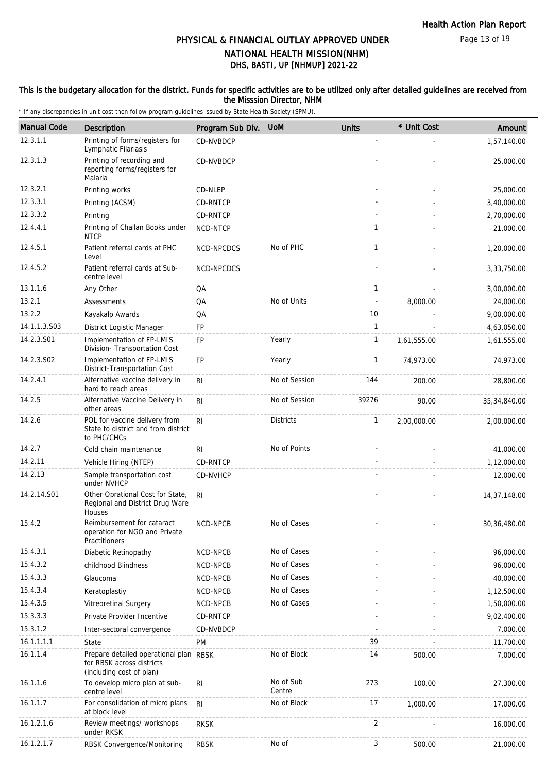Page 13 of 19

## DHS, BASTI, UP [NHMUP] 2021-22 PHYSICAL & FINANCIAL OUTLAY APPROVED UNDER NATIONAL HEALTH MISSION(NHM)

### This is the budgetary allocation for the district. Funds for specific activities are to be utilized only after detailed guidelines are received from the Misssion Director, NHM

| <b>Manual Code</b> | Description                                                                                     | Program Sub Div. | <b>UoM</b>          | <b>Units</b>   | * Unit Cost | Amount         |
|--------------------|-------------------------------------------------------------------------------------------------|------------------|---------------------|----------------|-------------|----------------|
| 12.3.1.1           | Printing of forms/registers for<br>Lymphatic Filariasis                                         | CD-NVBDCP        |                     |                |             | 1,57,140.00    |
| 12.3.1.3           | Printing of recording and<br>reporting forms/registers for<br>Malaria                           | CD-NVBDCP        |                     |                |             | 25,000.00      |
| 12.3.2.1           | Printing works                                                                                  | CD-NLEP          |                     |                |             | 25,000.00      |
| 12.3.3.1           | Printing (ACSM)                                                                                 | CD-RNTCP         |                     |                |             | 3,40,000.00    |
| 12.3.3.2           | Printing                                                                                        | CD-RNTCP         |                     |                |             | 2,70,000.00    |
| 12.4.4.1           | Printing of Challan Books under<br><b>NTCP</b>                                                  | NCD-NTCP         |                     | 1              |             | 21,000.00      |
| 12.4.5.1           | Patient referral cards at PHC<br>Level                                                          | NCD-NPCDCS       | No of PHC           | 1              |             | 1,20,000.00    |
| 12.4.5.2           | Patient referral cards at Sub-<br>centre level                                                  | NCD-NPCDCS       |                     |                |             | 3,33,750.00    |
| 13.1.1.6           | Any Other                                                                                       | QA               |                     | 1              |             | 3,00,000.00    |
| 13.2.1             | Assessments                                                                                     | QA               | No of Units         | ä,             | 8,000.00    | 24,000.00      |
| 13.2.2             | Kayakalp Awards                                                                                 | QA               |                     | 10             |             | 9,00,000.00    |
| 14.1.1.3.S03       | District Logistic Manager                                                                       | FP               |                     | 1              |             | 4,63,050.00    |
| 14.2.3.S01         | Implementation of FP-LMIS<br>Division- Transportation Cost                                      | FP               | Yearly              | $\mathbf{1}$   | 1,61,555.00 | 1,61,555.00    |
| 14.2.3.S02         | Implementation of FP-LMIS<br>District-Transportation Cost                                       | FP               | Yearly              | 1              | 74,973.00   | 74,973.00      |
| 14.2.4.1           | Alternative vaccine delivery in<br>hard to reach areas                                          | RI               | No of Session       | 144            | 200.00      | 28,800.00      |
| 14.2.5             | Alternative Vaccine Delivery in<br>other areas                                                  | R <sub>1</sub>   | No of Session       | 39276          | 90.00       | 35,34,840.00   |
| 14.2.6             | POL for vaccine delivery from<br>State to district and from district<br>to PHC/CHCs             | R <sub>l</sub>   | Districts           | $\mathbf{1}$   | 2,00,000.00 | 2,00,000.00    |
| 14.2.7             | Cold chain maintenance                                                                          | RI               | No of Points        |                |             | 41,000.00      |
| 14.2.11            | Vehicle Hiring (NTEP)                                                                           | CD-RNTCP         |                     |                |             | 1,12,000.00    |
| 14.2.13            | Sample transportation cost<br>under NVHCP                                                       | CD-NVHCP         |                     |                |             | 12,000.00      |
| 14.2.14.S01        | Other Oprational Cost for State,<br>Regional and District Drug Ware<br>Houses                   | R <sub>l</sub>   |                     |                |             | 14,37,148.00   |
| 15.4.2             | Reimbursement for cataract<br>operation for NGO and Private<br>Practitioners                    | NCD-NPCB         | No of Cases         |                |             | 30, 36, 480.00 |
| 15.4.3.1           | Diabetic Retinopathy                                                                            | NCD-NPCB         | No of Cases         |                |             | 96,000.00      |
| 15.4.3.2           | childhood Blindness                                                                             | NCD-NPCB         | No of Cases         |                |             | 96,000.00      |
| 15.4.3.3           | Glaucoma                                                                                        | NCD-NPCB         | No of Cases         |                |             | 40,000.00      |
| 15.4.3.4           | Keratoplastiy                                                                                   | NCD-NPCB         | No of Cases         |                |             | 1,12,500.00    |
| 15.4.3.5           | Vitreoretinal Surgery                                                                           | NCD-NPCB         | No of Cases         |                |             | 1,50,000.00    |
| 15.3.3.3           | Private Provider Incentive                                                                      | CD-RNTCP         |                     |                |             | 9,02,400.00    |
| 15.3.1.2           | Inter-sectoral convergence                                                                      | CD-NVBDCP        |                     |                |             | 7,000.00       |
| 16.1.1.1.1         | State                                                                                           | PM               |                     | 39             |             | 11,700.00      |
| 16.1.1.4           | Prepare detailed operational plan RBSK<br>for RBSK across districts<br>(including cost of plan) |                  | No of Block         | 14             | 500.00      | 7,000.00       |
| 16.1.1.6           | To develop micro plan at sub-<br>centre level                                                   | <b>RI</b>        | No of Sub<br>Centre | 273            | 100.00      | 27,300.00      |
| 16.1.1.7           | For consolidation of micro plans<br>at block level                                              | R <sub>1</sub>   | No of Block         | 17             | 1,000.00    | 17,000.00      |
| 16.1.2.1.6         | Review meetings/ workshops<br>under RKSK                                                        | <b>RKSK</b>      |                     | $\overline{2}$ |             | 16,000.00      |
| 16.1.2.1.7         | RBSK Convergence/Monitoring                                                                     | <b>RBSK</b>      | No of               | 3              | 500.00      | 21,000.00      |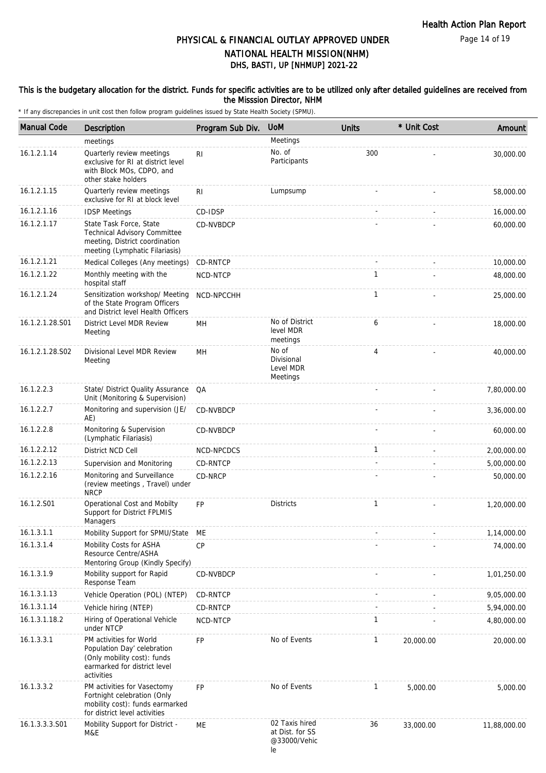### This is the budgetary allocation for the district. Funds for specific activities are to be utilized only after detailed guidelines are received from the Misssion Director, NHM

| <b>Manual Code</b> | Description                                                                                                                         | Program Sub Div. | <b>UoM</b>                                              | <b>Units</b> | * Unit Cost | Amount       |
|--------------------|-------------------------------------------------------------------------------------------------------------------------------------|------------------|---------------------------------------------------------|--------------|-------------|--------------|
|                    | meetings                                                                                                                            |                  | Meetings                                                |              |             |              |
| 16.1.2.1.14        | Quarterly review meetings<br>exclusive for RI at district level<br>with Block MOs, CDPO, and<br>other stake holders                 | RI               | No. of<br>Participants                                  | 300          |             | 30,000.00    |
| 16.1.2.1.15        | Quarterly review meetings<br>exclusive for RI at block level                                                                        | R <sub>1</sub>   | Lumpsump                                                |              |             | 58,000.00    |
| 16.1.2.1.16        | <b>IDSP Meetings</b>                                                                                                                | CD-IDSP          |                                                         |              |             | 16,000.00    |
| 16.1.2.1.17        | State Task Force, State<br><b>Technical Advisory Committee</b><br>meeting, District coordination<br>meeting (Lymphatic Filariasis)  | CD-NVBDCP        |                                                         |              |             | 60,000.00    |
| 16.1.2.1.21        | Medical Colleges (Any meetings)                                                                                                     | CD-RNTCP         |                                                         |              |             | 10,000.00    |
| 16.1.2.1.22        | Monthly meeting with the<br>hospital staff                                                                                          | NCD-NTCP         |                                                         | $\mathbf{1}$ |             | 48,000.00    |
| 16.1.2.1.24        | Sensitization workshop/ Meeting<br>of the State Program Officers<br>and District level Health Officers                              | NCD-NPCCHH       |                                                         | $\mathbf{1}$ |             | 25,000.00    |
| 16.1.2.1.28.S01    | District Level MDR Review<br>Meeting                                                                                                | MН               | No of District<br>level MDR<br>meetings                 | 6            |             | 18,000.00    |
| 16.1.2.1.28.S02    | Divisional Level MDR Review<br>Meeting                                                                                              | MН               | No of<br>Divisional<br>Level MDR<br>Meetings            | 4            |             | 40,000.00    |
| 16.1.2.2.3         | State/ District Quality Assurance<br>Unit (Monitoring & Supervision)                                                                | QA               |                                                         |              |             | 7,80,000.00  |
| 16.1.2.2.7         | Monitoring and supervision (JE/<br>AE)                                                                                              | CD-NVBDCP        |                                                         |              |             | 3,36,000.00  |
| 16.1.2.2.8         | Monitoring & Supervision<br>(Lymphatic Filariasis)                                                                                  | CD-NVBDCP        |                                                         |              |             | 60,000.00    |
| 16.1.2.2.12        | District NCD Cell                                                                                                                   | NCD-NPCDCS       |                                                         | $\mathbf{1}$ |             | 2,00,000.00  |
| 16.1.2.2.13        | Supervision and Monitoring                                                                                                          | CD-RNTCP         |                                                         |              |             | 5,00,000.00  |
| 16.1.2.2.16        | Monitoring and Surveillance<br>(review meetings, Travel) under<br><b>NRCP</b>                                                       | CD-NRCP          |                                                         |              |             | 50,000.00    |
| 16.1.2.S01         | Operational Cost and Mobilty<br>Support for District FPLMIS<br>Managers                                                             | <b>FP</b>        | <b>Districts</b>                                        | $\mathbf{1}$ |             | 1,20,000.00  |
| 16.1.3.1.1         | Mobility Support for SPMU/State                                                                                                     | МE               |                                                         |              |             | 1,14,000.00  |
| 16.1.3.1.4         | Mobility Costs for ASHA<br>Resource Centre/ASHA<br>Mentoring Group (Kindly Specify)                                                 | <b>CP</b>        |                                                         |              |             | 74,000.00    |
| 16.1.3.1.9         | Mobility support for Rapid<br>Response Team                                                                                         | CD-NVBDCP        |                                                         |              |             | 1,01,250.00  |
| 16.1.3.1.13        | Vehicle Operation (POL) (NTEP)                                                                                                      | CD-RNTCP         |                                                         |              |             | 9,05,000.00  |
| 16.1.3.1.14        | Vehicle hiring (NTEP)                                                                                                               | CD-RNTCP         |                                                         |              |             | 5,94,000.00  |
| 16.1.3.1.18.2      | Hiring of Operational Vehicle<br>under NTCP                                                                                         | NCD-NTCP         |                                                         | $\mathbf{1}$ |             | 4,80,000.00  |
| 16.1.3.3.1         | PM activities for World<br>Population Day' celebration<br>(Only mobility cost): funds<br>earmarked for district level<br>activities | <b>FP</b>        | No of Events<br>$\mathbf{1}$                            |              | 20,000.00   | 20,000.00    |
| 16.1.3.3.2         | PM activities for Vasectomy<br>Fortnight celebration (Only<br>mobility cost): funds earmarked<br>for district level activities      | <b>FP</b>        | No of Events                                            | $\mathbf{1}$ | 5,000.00    | 5,000.00     |
| 16.1.3.3.3.S01     | Mobility Support for District -<br>M&E                                                                                              | МE               | 02 Taxis hired<br>at Dist. for SS<br>@33000/Vehic<br>le | 36           | 33,000.00   | 11,88,000.00 |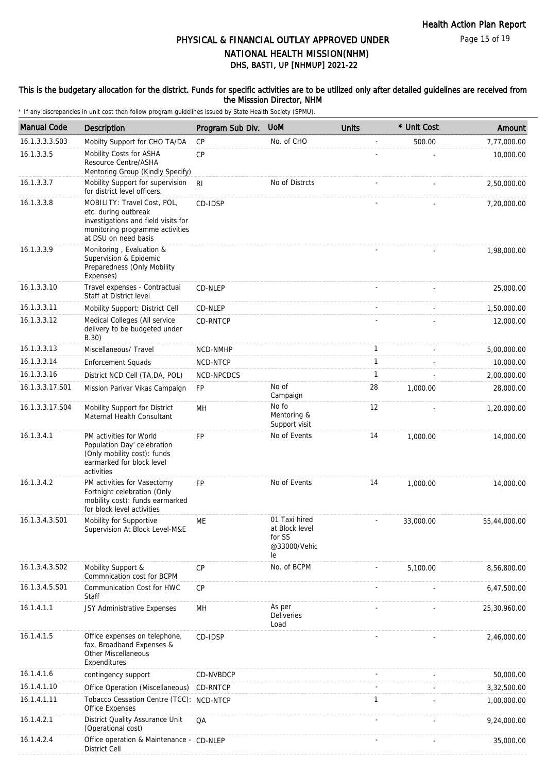#### This is the budgetary allocation for the district. Funds for specific activities are to be utilized only after detailed guidelines are received from the Misssion Director, NHM

| <b>Manual Code</b> | Description                                                                                                                                           | Program Sub Div. | <b>UoM</b>                                                      | <b>Units</b> | * Unit Cost | Amount       |
|--------------------|-------------------------------------------------------------------------------------------------------------------------------------------------------|------------------|-----------------------------------------------------------------|--------------|-------------|--------------|
| 16.1.3.3.3.S03     | Mobilty Support for CHO TA/DA                                                                                                                         | CP               | No. of CHO                                                      |              | 500.00      | 7,77,000.00  |
| 16.1.3.3.5         | Mobility Costs for ASHA<br>Resource Centre/ASHA<br>Mentoring Group (Kindly Specify)                                                                   | <b>CP</b>        |                                                                 |              |             | 10,000.00    |
| 16.1.3.3.7         | Mobility Support for supervision<br>for district level officers.                                                                                      | R <sub>l</sub>   | No of Distrcts                                                  |              |             | 2,50,000.00  |
| 16.1.3.3.8         | MOBILITY: Travel Cost, POL,<br>etc. during outbreak<br>investigations and field visits for<br>monitoring programme activities<br>at DSU on need basis | CD-IDSP          |                                                                 |              |             | 7,20,000.00  |
| 16.1.3.3.9         | Monitoring, Evaluation &<br>Supervision & Epidemic<br>Preparedness (Only Mobility<br>Expenses)                                                        |                  |                                                                 |              |             | 1,98,000.00  |
| 16.1.3.3.10        | Travel expenses - Contractual<br>Staff at District level                                                                                              | CD-NLEP          |                                                                 |              |             | 25,000.00    |
| 16.1.3.3.11        | Mobility Support: District Cell                                                                                                                       | CD-NLEP          |                                                                 |              |             | 1,50,000.00  |
| 16.1.3.3.12        | Medical Colleges (All service<br>delivery to be budgeted under<br>B.30)                                                                               | CD-RNTCP         |                                                                 |              |             | 12,000.00    |
| 16.1.3.3.13        | Miscellaneous/ Travel                                                                                                                                 | NCD-NMHP         |                                                                 | $\mathbf{1}$ |             | 5,00,000.00  |
| 16.1.3.3.14        | <b>Enforcement Squads</b>                                                                                                                             | NCD-NTCP         |                                                                 | $\mathbf{1}$ |             | 10,000.00    |
| 16.1.3.3.16        | District NCD Cell (TA, DA, POL)                                                                                                                       | NCD-NPCDCS       |                                                                 | 1            |             | 2,00,000.00  |
| 16.1.3.3.17.S01    | Mission Parivar Vikas Campaign                                                                                                                        | FP               | No of<br>Campaign                                               | 28           | 1,000.00    | 28,000.00    |
| 16.1.3.3.17.S04    | Mobility Support for District<br>Maternal Health Consultant                                                                                           | MН               | No fo<br>Mentoring &<br>Support visit                           | 12           |             | 1,20,000.00  |
| 16.1.3.4.1         | PM activities for World<br>Population Day' celebration<br>(Only mobility cost): funds<br>earmarked for block level<br>activities                      | FP               | No of Events                                                    | 14           | 1,000.00    | 14,000.00    |
| 16.1.3.4.2         | PM activities for Vasectomy<br>Fortnight celebration (Only<br>mobility cost): funds earmarked<br>for block level activities                           | <b>FP</b>        | No of Events                                                    | 14           | 1,000.00    | 14,000.00    |
| 16.1.3.4.3.S01     | Mobility for Supportive<br>Supervision At Block Level-M&E                                                                                             | ME               | 01 Taxi hired<br>at Block level<br>for SS<br>@33000/Vehic<br>le |              | 33,000.00   | 55,44,000.00 |
| 16.1.3.4.3.S02     | Mobility Support &<br>Commnication cost for BCPM                                                                                                      | <b>CP</b>        | No. of BCPM                                                     |              | 5,100.00    | 8,56,800.00  |
| 16.1.3.4.5.S01     | Communication Cost for HWC<br>Staff                                                                                                                   | CP               |                                                                 |              |             | 6,47,500.00  |
| 16.1.4.1.1         | JSY Administrative Expenses                                                                                                                           | MH               | As per<br><b>Deliveries</b><br>Load                             |              |             | 25,30,960.00 |
| 16.1.4.1.5         | Office expenses on telephone,<br>fax, Broadband Expenses &<br><b>Other Miscellaneous</b><br>Expenditures                                              | CD-IDSP          |                                                                 |              |             | 2,46,000.00  |
| 16.1.4.1.6         | contingency support                                                                                                                                   | CD-NVBDCP        |                                                                 |              |             | 50,000.00    |
| 16.1.4.1.10        | Office Operation (Miscellaneous)                                                                                                                      | CD-RNTCP         |                                                                 |              |             | 3,32,500.00  |
| 16.1.4.1.11        | Tobacco Cessation Centre (TCC): NCD-NTCP<br>Office Expenses                                                                                           |                  |                                                                 | $\mathbf{1}$ |             | 1,00,000.00  |
| 16.1.4.2.1         | District Quality Assurance Unit<br>(Operational cost)                                                                                                 | QA               |                                                                 |              |             | 9,24,000.00  |
| 16.1.4.2.4         | Office operation & Maintenance - CD-NLEP<br>District Cell                                                                                             |                  |                                                                 |              |             | 35,000.00    |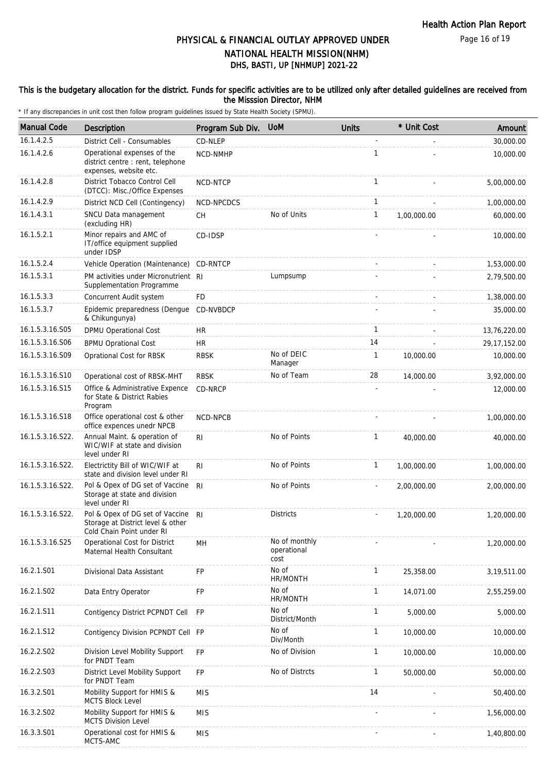Page 16 of 19

## DHS, BASTI, UP [NHMUP] 2021-22 PHYSICAL & FINANCIAL OUTLAY APPROVED UNDER NATIONAL HEALTH MISSION(NHM)

#### This is the budgetary allocation for the district. Funds for specific activities are to be utilized only after detailed guidelines are received from the Misssion Director, NHM

| <b>Manual Code</b> | Description                                                                                       | Program Sub Div. UoM |                                      | <b>Units</b> | * Unit Cost | Amount         |
|--------------------|---------------------------------------------------------------------------------------------------|----------------------|--------------------------------------|--------------|-------------|----------------|
| 16.1.4.2.5         | District Cell - Consumables                                                                       | CD-NLEP              |                                      |              |             | 30,000.00      |
| 16.1.4.2.6         | Operational expenses of the<br>district centre : rent, telephone<br>expenses, website etc.        | NCD-NMHP             |                                      | 1            |             | 10,000.00      |
| 16.1.4.2.8         | District Tobacco Control Cell<br>(DTCC): Misc./Office Expenses                                    | NCD-NTCP             |                                      | $\mathbf{1}$ |             | 5,00,000.00    |
| 16.1.4.2.9         | District NCD Cell (Contingency)                                                                   | NCD-NPCDCS           |                                      | $\mathbf{1}$ |             | 1,00,000.00    |
| 16.1.4.3.1         | SNCU Data management<br>(excluding HR)                                                            | <b>CH</b>            | No of Units                          | $\mathbf{1}$ | 1,00,000.00 | 60,000.00      |
| 16.1.5.2.1         | Minor repairs and AMC of<br>IT/office equipment supplied<br>under IDSP                            | CD-IDSP              |                                      |              |             | 10,000.00      |
| 16.1.5.2.4         | Vehicle Operation (Maintenance) CD-RNTCP                                                          |                      |                                      |              |             | 1,53,000.00    |
| 16.1.5.3.1         | PM activities under Micronutrient RI<br>Supplementation Programme                                 |                      | Lumpsump                             |              |             | 2,79,500.00    |
| 16.1.5.3.3         | Concurrent Audit system                                                                           | FD                   |                                      |              |             | 1,38,000.00    |
| 16.1.5.3.7         | Epidemic preparedness (Denque<br>& Chikungunya)                                                   | CD-NVBDCP            |                                      |              |             | 35,000.00      |
| 16.1.5.3.16.S05    | <b>DPMU Operational Cost</b>                                                                      | HR                   |                                      | 1            |             | 13,76,220.00   |
| 16.1.5.3.16.S06    | <b>BPMU Oprational Cost</b>                                                                       | <b>HR</b>            |                                      | 14           |             | 29, 17, 152.00 |
| 16.1.5.3.16.S09    | Oprational Cost for RBSK                                                                          | <b>RBSK</b>          | No of DEIC<br>Manager                | $\mathbf{1}$ | 10,000.00   | 10,000.00      |
| 16.1.5.3.16.S10    | Operational cost of RBSK-MHT                                                                      | <b>RBSK</b>          | No of Team                           | 28           | 14,000.00   | 3,92,000.00    |
| 16.1.5.3.16.S15    | Office & Administrative Expence<br>for State & District Rabies<br>Program                         | CD-NRCP              |                                      |              |             | 12,000.00      |
| 16.1.5.3.16.S18    | Office operational cost & other<br>office expences unedr NPCB                                     | NCD-NPCB             |                                      |              |             | 1,00,000.00    |
| 16.1.5.3.16.S22.   | Annual Maint. & operation of<br>WIC/WIF at state and division<br>level under RI                   | R <sub>l</sub>       | No of Points                         | $\mathbf{1}$ | 40,000.00   | 40,000.00      |
| 16.1.5.3.16.S22.   | Electrictity Bill of WIC/WIF at<br>state and division level under RI                              | R <sub>1</sub>       | No of Points                         | $\mathbf{1}$ | 1,00,000.00 | 1,00,000.00    |
| 16.1.5.3.16.S22.   | Pol & Opex of DG set of Vaccine<br>Storage at state and division<br>level under RI                | R <sub>l</sub>       | No of Points                         |              | 2,00,000.00 | 2,00,000.00    |
| 16.1.5.3.16.S22.   | Pol & Opex of DG set of Vaccine<br>Storage at District level & other<br>Cold Chain Point under RI | R <sub>l</sub>       | <b>Districts</b>                     |              | 1,20,000.00 | 1,20,000.00    |
| 16.1.5.3.16.S25    | Operational Cost for District<br>Maternal Health Consultant                                       | MH                   | No of monthly<br>operational<br>cost |              |             | 1,20,000.00    |
| 16.2.1.S01         | Divisional Data Assistant                                                                         | FP                   | No of<br>HR/MONTH                    | $\mathbf{1}$ | 25,358.00   | 3, 19, 511.00  |
| 16.2.1.S02         | Data Entry Operator                                                                               | FP                   | No of<br>HR/MONTH                    | $\mathbf{1}$ | 14,071.00   | 2,55,259.00    |
| 16.2.1.S11         | Contigency District PCPNDT Cell                                                                   | <b>FP</b>            | No of<br>District/Month              | 1            | 5,000.00    | 5,000.00       |
| 16.2.1.S12         | Contigency Division PCPNDT Cell FP                                                                |                      | No of<br>Div/Month                   | $\mathbf{1}$ | 10,000.00   | 10,000.00      |
| 16.2.2.S02         | Division Level Mobility Support<br>for PNDT Team                                                  | FP                   | No of Division                       | $\mathbf{1}$ | 10,000.00   | 10,000.00      |
| 16.2.2.S03         | District Level Mobility Support<br>for PNDT Team                                                  | <b>FP</b>            | No of Distrcts                       | $\mathbf{1}$ | 50,000.00   | 50,000.00      |
| 16.3.2.S01         | Mobility Support for HMIS &<br><b>MCTS Block Level</b>                                            | <b>MIS</b>           |                                      | 14           |             | 50,400.00      |
| 16.3.2.S02         | Mobility Support for HMIS &<br><b>MCTS Division Level</b>                                         | <b>MIS</b>           |                                      |              |             | 1,56,000.00    |
| 16.3.3.S01         | Operational cost for HMIS &<br>MCTS-AMC                                                           | <b>MIS</b>           |                                      |              |             | 1,40,800.00    |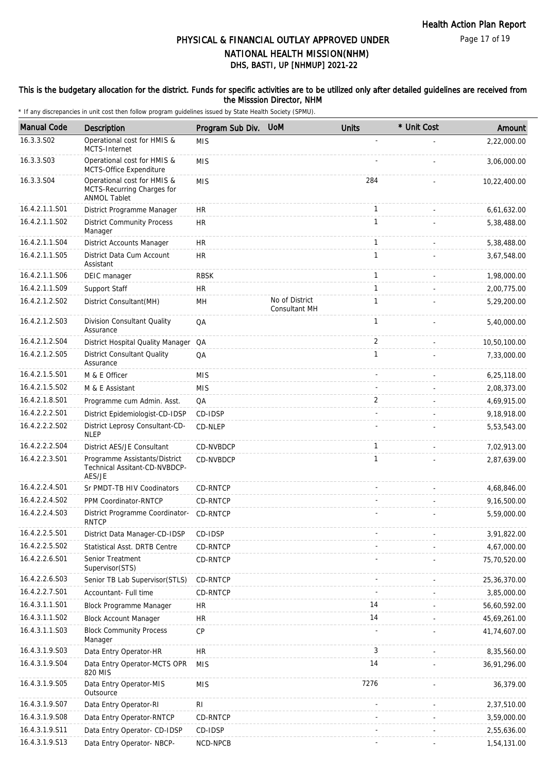#### This is the budgetary allocation for the district. Funds for specific activities are to be utilized only after detailed guidelines are received from the Misssion Director, NHM

| <b>Manual Code</b> | Description                                                                      | Program Sub Div. | <b>UoM</b>                      | <b>Units</b>   | * Unit Cost | Amount       |
|--------------------|----------------------------------------------------------------------------------|------------------|---------------------------------|----------------|-------------|--------------|
| 16.3.3.S02         | Operational cost for HMIS &<br>MCTS-Internet                                     | <b>MIS</b>       |                                 |                |             | 2,22,000.00  |
| 16.3.3.S03         | Operational cost for HMIS &<br>MCTS-Office Expenditure                           | <b>MIS</b>       |                                 |                |             | 3,06,000.00  |
| 16.3.3.S04         | Operational cost for HMIS &<br>MCTS-Recurring Charges for<br><b>ANMOL Tablet</b> | <b>MIS</b>       |                                 | 284            |             | 10,22,400.00 |
| 16.4.2.1.1.S01     | District Programme Manager                                                       | <b>HR</b>        |                                 | $\mathbf{1}$   |             | 6,61,632.00  |
| 16.4.2.1.1.S02     | <b>District Community Process</b><br>Manager                                     | <b>HR</b>        |                                 | $\mathbf{1}$   |             | 5,38,488.00  |
| 16.4.2.1.1.S04     | <b>District Accounts Manager</b>                                                 | HR               |                                 | 1              |             | 5,38,488.00  |
| 16.4.2.1.1.S05     | District Data Cum Account<br>Assistant                                           | <b>HR</b>        |                                 | $\mathbf{1}$   |             | 3,67,548.00  |
| 16.4.2.1.1.S06     | DEIC manager                                                                     | <b>RBSK</b>      |                                 | 1              |             | 1,98,000.00  |
| 16.4.2.1.1.S09     | Support Staff                                                                    | <b>HR</b>        |                                 | $\mathbf{1}$   |             | 2,00,775.00  |
| 16.4.2.1.2.S02     | District Consultant(MH)                                                          | MН               | No of District<br>Consultant MH | $\mathbf{1}$   |             | 5,29,200.00  |
| 16.4.2.1.2.S03     | Division Consultant Quality<br>Assurance                                         | QA               |                                 | $\mathbf{1}$   |             | 5,40,000.00  |
| 16.4.2.1.2.S04     | District Hospital Quality Manager QA                                             |                  |                                 | 2              |             | 10,50,100.00 |
| 16.4.2.1.2.S05     | <b>District Consultant Quality</b><br>Assurance                                  | QA               |                                 | $\mathbf{1}$   |             | 7,33,000.00  |
| 16.4.2.1.5.S01     | M & E Officer                                                                    | <b>MIS</b>       |                                 |                |             | 6,25,118.00  |
| 16.4.2.1.5.S02     | M & E Assistant                                                                  | <b>MIS</b>       |                                 |                |             | 2,08,373.00  |
| 16.4.2.1.8.S01     | Programme cum Admin. Asst.                                                       | QA               |                                 | $\overline{2}$ |             | 4,69,915.00  |
| 16.4.2.2.2.S01     | District Epidemiologist-CD-IDSP                                                  | CD-IDSP          |                                 |                |             | 9,18,918.00  |
| 16.4.2.2.2.S02     | District Leprosy Consultant-CD-<br><b>NLEP</b>                                   | CD-NLEP          |                                 |                |             | 5,53,543.00  |
| 16.4.2.2.2.S04     | District AES/JE Consultant                                                       | CD-NVBDCP        |                                 | $\mathbf{1}$   |             | 7,02,913.00  |
| 16.4.2.2.3.S01     | Programme Assistants/District<br>Technical Assitant-CD-NVBDCP-<br>AES/JE         | CD-NVBDCP        |                                 | $\mathbf{1}$   |             | 2,87,639.00  |
| 16.4.2.2.4.S01     | Sr PMDT-TB HIV Coodinators                                                       | CD-RNTCP         |                                 |                |             | 4,68,846.00  |
| 16.4.2.2.4.S02     | PPM Coordinator-RNTCP                                                            | CD-RNTCP         |                                 |                |             | 9,16,500.00  |
| 16.4.2.2.4.S03     | District Programme Coordinator-<br><b>RNTCP</b>                                  | CD-RNTCP         |                                 |                |             | 5,59,000.00  |
| 16.4.2.2.5.S01     | District Data Manager-CD-IDSP                                                    | CD-IDSP          |                                 |                |             | 3,91,822.00  |
| 16.4.2.2.5.S02     | Statistical Asst. DRTB Centre                                                    | CD-RNTCP         |                                 |                |             | 4,67,000.00  |
| 16.4.2.2.6.S01     | Senior Treatment<br>Supervisor(STS)                                              | CD-RNTCP         |                                 |                |             | 75,70,520.00 |
| 16.4.2.2.6.S03     | Senior TB Lab Supervisor(STLS)                                                   | CD-RNTCP         |                                 |                |             | 25,36,370.00 |
| 16.4.2.2.7.S01     | Accountant- Full time                                                            | CD-RNTCP         |                                 |                |             | 3,85,000.00  |
| 16.4.3.1.1.S01     | Block Programme Manager                                                          | <b>HR</b>        |                                 | 14             |             | 56,60,592.00 |
| 16.4.3.1.1.S02     | <b>Block Account Manager</b>                                                     | <b>HR</b>        |                                 | 14             |             | 45,69,261.00 |
| 16.4.3.1.1.S03     | <b>Block Community Process</b><br>Manager                                        | CP               |                                 |                |             | 41,74,607.00 |
| 16.4.3.1.9.S03     | Data Entry Operator-HR                                                           | <b>HR</b>        |                                 | 3              |             | 8,35,560.00  |
| 16.4.3.1.9.S04     | Data Entry Operator-MCTS OPR<br>820 MIS                                          | <b>MIS</b>       |                                 | 14             |             | 36,91,296.00 |
| 16.4.3.1.9.S05     | Data Entry Operator-MIS<br>Outsource                                             | <b>MIS</b>       |                                 | 7276           |             | 36,379.00    |
| 16.4.3.1.9.S07     | Data Entry Operator-RI                                                           | <b>RI</b>        |                                 |                |             | 2,37,510.00  |
| 16.4.3.1.9.S08     | Data Entry Operator-RNTCP                                                        | CD-RNTCP         |                                 |                |             | 3,59,000.00  |
| 16.4.3.1.9.S11     | Data Entry Operator- CD-IDSP                                                     | CD-IDSP          |                                 |                |             | 2,55,636.00  |
| 16.4.3.1.9.S13     | Data Entry Operator- NBCP-                                                       | NCD-NPCB         |                                 |                |             | 1,54,131.00  |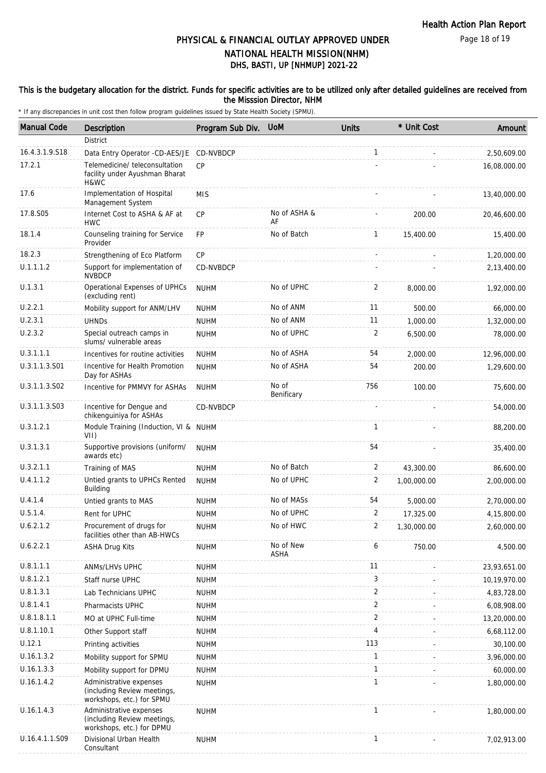#### This is the budgetary allocation for the district. Funds for specific activities are to be utilized only after detailed guidelines are received from the Misssion Director, NHM

| <b>Manual Code</b> | <b>Description</b>                                                                  | Program Sub Div. | <b>UoM</b>               | <b>Units</b>   | * Unit Cost | Amount       |
|--------------------|-------------------------------------------------------------------------------------|------------------|--------------------------|----------------|-------------|--------------|
|                    | <b>District</b>                                                                     |                  |                          |                |             |              |
| 16.4.3.1.9.S18     | Data Entry Operator -CD-AES/JE CD-NVBDCP                                            |                  |                          | $\mathbf{1}$   |             | 2,50,609.00  |
| 17.2.1             | Telemedicine/ teleconsultation<br>facility under Ayushman Bharat<br>H&WC            | <b>CP</b>        |                          |                |             | 16,08,000.00 |
| 17.6               | Implementation of Hospital<br>Management System                                     | <b>MIS</b>       |                          |                |             | 13,40,000.00 |
| 17.8.S05           | Internet Cost to ASHA & AF at<br><b>HWC</b>                                         | <b>CP</b>        | No of ASHA &<br>AF       |                | 200.00      | 20,46,600.00 |
| 18.1.4             | Counseling training for Service<br>Provider                                         | <b>FP</b>        | No of Batch              | $\mathbf{1}$   | 15,400.00   | 15,400.00    |
| 18.2.3             | Strengthening of Eco Platform                                                       | CP               |                          |                |             | 1,20,000.00  |
| U.1.1.1.2          | Support for implementation of<br><b>NVBDCP</b>                                      | CD-NVBDCP        |                          |                |             | 2,13,400.00  |
| U.1.3.1            | Operational Expenses of UPHCs<br>(excluding rent)                                   | <b>NUHM</b>      | No of UPHC               | 2              | 8,000.00    | 1,92,000.00  |
| U.2.2.1            | Mobility support for ANM/LHV                                                        | <b>NUHM</b>      | No of ANM                | 11             | 500.00      | 66,000.00    |
| U.2.3.1            | <b>UHNDS</b>                                                                        | <b>NUHM</b>      | No of ANM                | 11             | 1,000.00    | 1,32,000.00  |
| U.2.3.2            | Special outreach camps in<br>slums/ vulnerable areas                                | <b>NUHM</b>      | No of UPHC               | 2              | 6,500.00    | 78,000.00    |
| U.3.1.1.1          | Incentives for routine activities                                                   | <b>NUHM</b>      | No of ASHA               | 54             | 2,000.00    | 12,96,000.00 |
| U.3.1.1.3.S01      | Incentive for Health Promotion<br>Day for ASHAs                                     | <b>NUHM</b>      | No of ASHA               | 54             | 200.00      | 1,29,600.00  |
| U.3.1.1.3.S02      | Incentive for PMMVY for ASHAs                                                       | <b>NUHM</b>      | No of<br>Benificary      | 756            | 100.00      | 75,600.00    |
| U.3.1.1.3.S03      | Incentive for Dengue and<br>chikenguiniya for ASHAs                                 | CD-NVBDCP        |                          |                |             | 54,000.00    |
| U.3.1.2.1          | Module Training (Induction, VI & NUHM<br>VII)                                       |                  |                          | $\mathbf{1}$   |             | 88,200.00    |
| U.3.1.3.1          | Supportive provisions (uniform/<br>awards etc)                                      | <b>NUHM</b>      |                          | 54             |             | 35,400.00    |
| U.3.2.1.1          | Training of MAS                                                                     | <b>NUHM</b>      | No of Batch              | 2              | 43,300.00   | 86,600.00    |
| U.4.1.1.2          | Untied grants to UPHCs Rented<br>Building                                           | <b>NUHM</b>      | No of UPHC               | 2              | 1,00,000.00 | 2.00.000.00  |
| U.4.1.4            | Untied grants to MAS                                                                | <b>NUHM</b>      | No of MASs               | 54             | 5,000.00    | 2,70,000.00  |
| U.5.1.4.           | Rent for UPHC                                                                       | <b>NUHM</b>      | No of UPHC               | 2              | 17,325.00   | 4,15,800.00  |
| U.6.2.1.2          | Procurement of drugs for<br>facilities other than AB-HWCs                           | <b>NUHM</b>      | No of HWC                | 2              | 1,30,000.00 | 2,60,000.00  |
| U.6.2.2.1          | <b>ASHA Drug Kits</b>                                                               | <b>NUHM</b>      | No of New<br><b>ASHA</b> | 6              | 750.00      | 4,500.00     |
| U.8.1.1.1          | ANMs/LHVs UPHC                                                                      | <b>NUHM</b>      |                          | 11             |             | 23,93,651.00 |
| U.8.1.2.1          | Staff nurse UPHC                                                                    | <b>NUHM</b>      |                          | 3              |             | 10,19,970.00 |
| U.8.1.3.1          | Lab Technicians UPHC                                                                | <b>NUHM</b>      |                          | $\overline{2}$ |             | 4,83,728.00  |
| U.8.1.4.1          | Pharmacists UPHC                                                                    | <b>NUHM</b>      |                          | $\overline{2}$ |             | 6,08,908.00  |
| U.8.1.8.1.1        | MO at UPHC Full-time                                                                | <b>NUHM</b>      |                          | $\overline{2}$ |             | 13,20,000.00 |
| U.8.1.10.1         | Other Support staff                                                                 | <b>NUHM</b>      |                          | $\overline{4}$ |             | 6,68,112.00  |
| U.12.1             | Printing activities                                                                 | <b>NUHM</b>      |                          | 113            |             | 30,100.00    |
| U.16.1.3.2         | Mobility support for SPMU                                                           | <b>NUHM</b>      |                          | $\mathbf{1}$   |             | 3,96,000.00  |
| U.16.1.3.3         | Mobility support for DPMU                                                           | <b>NUHM</b>      |                          | $\mathbf{1}$   |             | 60,000.00    |
| U.16.1.4.2         | Administrative expenses<br>(including Review meetings,<br>workshops, etc.) for SPMU | <b>NUHM</b>      |                          | 1              |             | 1,80,000.00  |
| U.16.1.4.3         | Administrative expenses<br>(including Review meetings,<br>workshops, etc.) for DPMU | <b>NUHM</b>      |                          | 1              |             | 1,80,000.00  |
| U.16.4.1.1.S09     | Divisional Urban Health<br>Consultant                                               | <b>NUHM</b>      |                          | 1              |             | 7,02,913.00  |